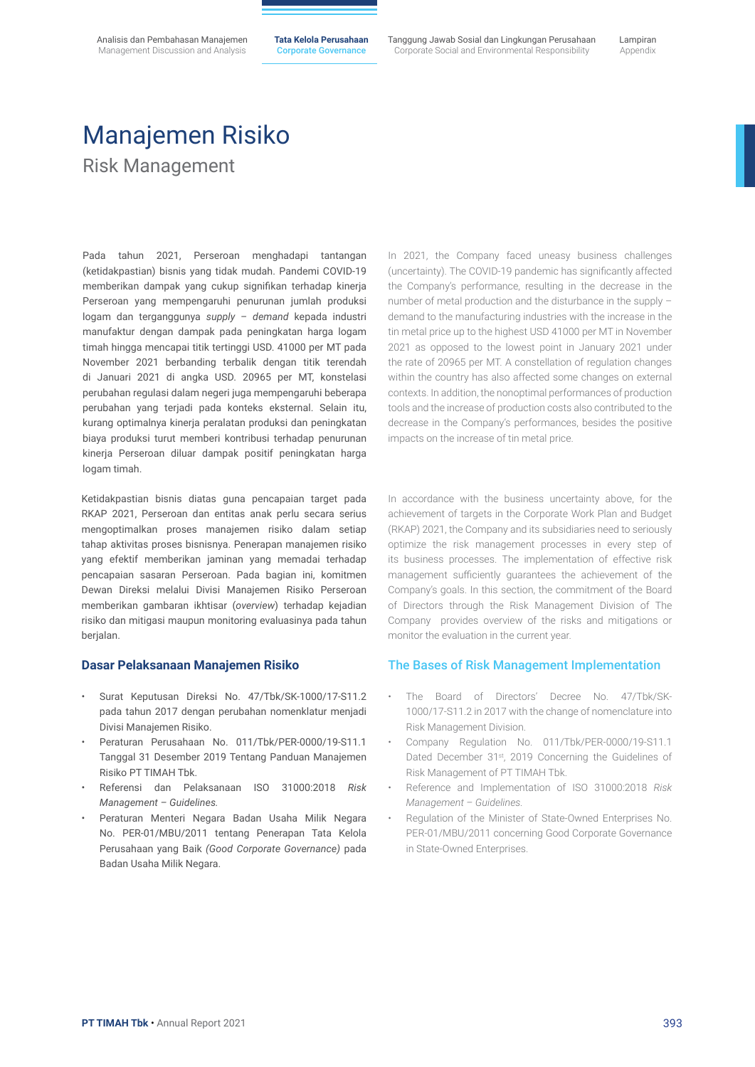**Tata Kelola Perusahaan** Corporate Governance

Tanggung Jawab Sosial dan Lingkungan Perusahaan Corporate Social and Environmental Responsibility

Lampiran Appendix

## Manajemen Risiko Risk Management

Pada tahun 2021, Perseroan menghadapi tantangan (ketidakpastian) bisnis yang tidak mudah. Pandemi COVID-19 memberikan dampak yang cukup signifikan terhadap kinerja Perseroan yang mempengaruhi penurunan jumlah produksi logam dan terganggunya *supply – demand* kepada industri manufaktur dengan dampak pada peningkatan harga logam timah hingga mencapai titik tertinggi USD. 41000 per MT pada November 2021 berbanding terbalik dengan titik terendah di Januari 2021 di angka USD. 20965 per MT, konstelasi perubahan regulasi dalam negeri juga mempengaruhi beberapa perubahan yang terjadi pada konteks eksternal. Selain itu, kurang optimalnya kinerja peralatan produksi dan peningkatan biaya produksi turut memberi kontribusi terhadap penurunan kinerja Perseroan diluar dampak positif peningkatan harga logam timah.

Ketidakpastian bisnis diatas guna pencapaian target pada RKAP 2021, Perseroan dan entitas anak perlu secara serius mengoptimalkan proses manajemen risiko dalam setiap tahap aktivitas proses bisnisnya. Penerapan manajemen risiko yang efektif memberikan jaminan yang memadai terhadap pencapaian sasaran Perseroan. Pada bagian ini, komitmen Dewan Direksi melalui Divisi Manajemen Risiko Perseroan memberikan gambaran ikhtisar (*overview*) terhadap kejadian risiko dan mitigasi maupun monitoring evaluasinya pada tahun berjalan.

### **Dasar Pelaksanaan Manajemen Risiko**

- Surat Keputusan Direksi No. 47/Tbk/SK-1000/17-S11.2 pada tahun 2017 dengan perubahan nomenklatur menjadi Divisi Manajemen Risiko.
- Peraturan Perusahaan No. 011/Tbk/PER-0000/19-S11.1 Tanggal 31 Desember 2019 Tentang Panduan Manajemen Risiko PT TIMAH Tbk.
- Referensi dan Pelaksanaan ISO 31000:2018 *Risk Management – Guidelines.*
- Peraturan Menteri Negara Badan Usaha Milik Negara No. PER-01/MBU/2011 tentang Penerapan Tata Kelola Perusahaan yang Baik *(Good Corporate Governance)* pada Badan Usaha Milik Negara.

In 2021, the Company faced uneasy business challenges (uncertainty). The COVID-19 pandemic has significantly affected the Company's performance, resulting in the decrease in the number of metal production and the disturbance in the supply – demand to the manufacturing industries with the increase in the tin metal price up to the highest USD 41000 per MT in November 2021 as opposed to the lowest point in January 2021 under the rate of 20965 per MT. A constellation of regulation changes within the country has also affected some changes on external contexts. In addition, the nonoptimal performances of production tools and the increase of production costs also contributed to the decrease in the Company's performances, besides the positive impacts on the increase of tin metal price.

In accordance with the business uncertainty above, for the achievement of targets in the Corporate Work Plan and Budget (RKAP) 2021, the Company and its subsidiaries need to seriously optimize the risk management processes in every step of its business processes. The implementation of effective risk management sufficiently guarantees the achievement of the Company's goals. In this section, the commitment of the Board of Directors through the Risk Management Division of The Company provides overview of the risks and mitigations or monitor the evaluation in the current year.

### The Bases of Risk Management Implementation

- The Board of Directors' Decree No. 47/Tbk/SK-1000/17-S11.2 in 2017 with the change of nomenclature into Risk Management Division.
- Company Regulation No. 011/Tbk/PER-0000/19-S11.1 Dated December 31<sup>st</sup>, 2019 Concerning the Guidelines of Risk Management of PT TIMAH Tbk.
- Reference and Implementation of ISO 31000:2018 *Risk Management – Guidelines.*
- Regulation of the Minister of State-Owned Enterprises No. PER-01/MBU/2011 concerning Good Corporate Governance in State-Owned Enterprises.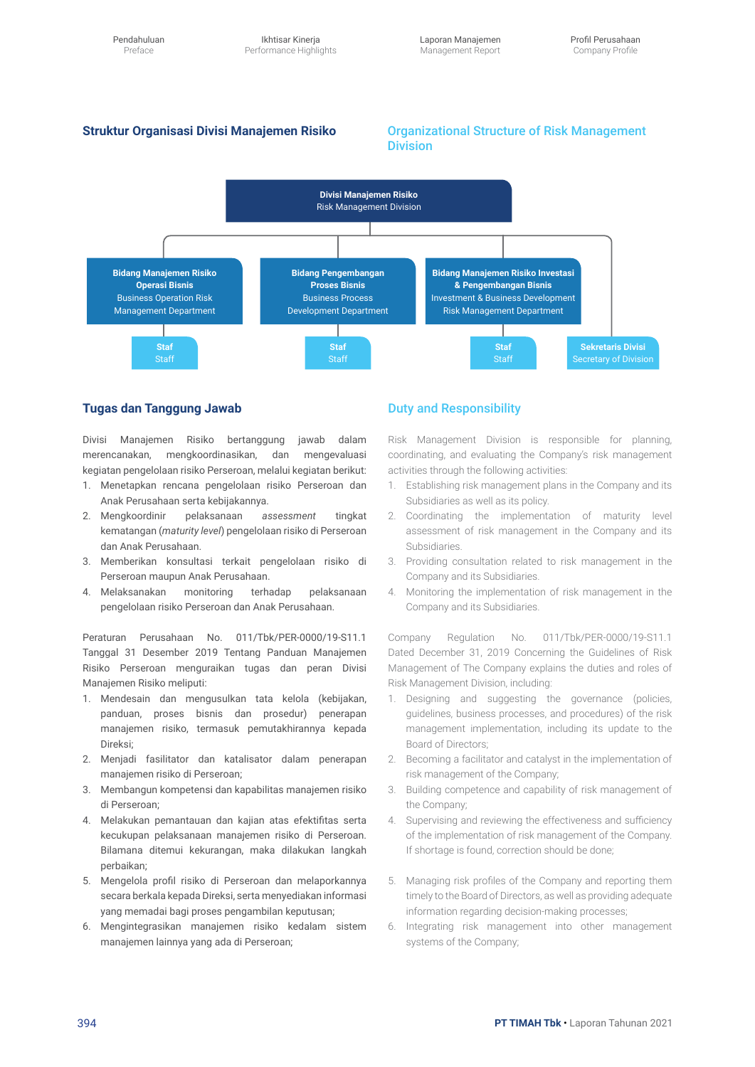### **Struktur Organisasi Divisi Manajemen Risiko** Organizational Structure of Risk Management Division



### **Tugas dan Tanggung Jawab**

Divisi Manajemen Risiko bertanggung jawab dalam merencanakan, mengkoordinasikan, dan mengevaluasi kegiatan pengelolaan risiko Perseroan, melalui kegiatan berikut:

- 1. Menetapkan rencana pengelolaan risiko Perseroan dan Anak Perusahaan serta kebijakannya.
- 2. Mengkoordinir pelaksanaan *assessment* tingkat kematangan (*maturity level*) pengelolaan risiko di Perseroan dan Anak Perusahaan.
- 3. Memberikan konsultasi terkait pengelolaan risiko di Perseroan maupun Anak Perusahaan.
- 4. Melaksanakan monitoring terhadap pelaksanaan pengelolaan risiko Perseroan dan Anak Perusahaan.

Peraturan Perusahaan No. 011/Tbk/PER-0000/19-S11.1 Tanggal 31 Desember 2019 Tentang Panduan Manajemen Risiko Perseroan menguraikan tugas dan peran Divisi Manajemen Risiko meliputi:

- 1. Mendesain dan mengusulkan tata kelola (kebijakan, panduan, proses bisnis dan prosedur) penerapan manajemen risiko, termasuk pemutakhirannya kepada Direksi;
- 2. Menjadi fasilitator dan katalisator dalam penerapan manajemen risiko di Perseroan;
- 3. Membangun kompetensi dan kapabilitas manajemen risiko di Perseroan;
- 4. Melakukan pemantauan dan kajian atas efektifitas serta kecukupan pelaksanaan manajemen risiko di Perseroan. Bilamana ditemui kekurangan, maka dilakukan langkah perbaikan;
- 5. Mengelola profil risiko di Perseroan dan melaporkannya secara berkala kepada Direksi, serta menyediakan informasi yang memadai bagi proses pengambilan keputusan;
- 6. Mengintegrasikan manajemen risiko kedalam sistem manajemen lainnya yang ada di Perseroan;

### Duty and Responsibility

Risk Management Division is responsible for planning, coordinating, and evaluating the Company's risk management activities through the following activities:

- 1. Establishing risk management plans in the Company and its Subsidiaries as well as its policy.
- 2. Coordinating the implementation of maturity level assessment of risk management in the Company and its Subsidiaries.
- 3. Providing consultation related to risk management in the Company and its Subsidiaries.
- 4. Monitoring the implementation of risk management in the Company and its Subsidiaries.

Company Regulation No. 011/Tbk/PER-0000/19-S11.1 Dated December 31, 2019 Concerning the Guidelines of Risk Management of The Company explains the duties and roles of Risk Management Division, including:

- 1. Designing and suggesting the governance (policies, guidelines, business processes, and procedures) of the risk management implementation, including its update to the Board of Directors;
- 2. Becoming a facilitator and catalyst in the implementation of risk management of the Company;
- 3. Building competence and capability of risk management of the Company;
- 4. Supervising and reviewing the effectiveness and sufficiency of the implementation of risk management of the Company. If shortage is found, correction should be done;
- 5. Managing risk profiles of the Company and reporting them timely to the Board of Directors, as well as providing adequate information regarding decision-making processes;
- 6. Integrating risk management into other management systems of the Company;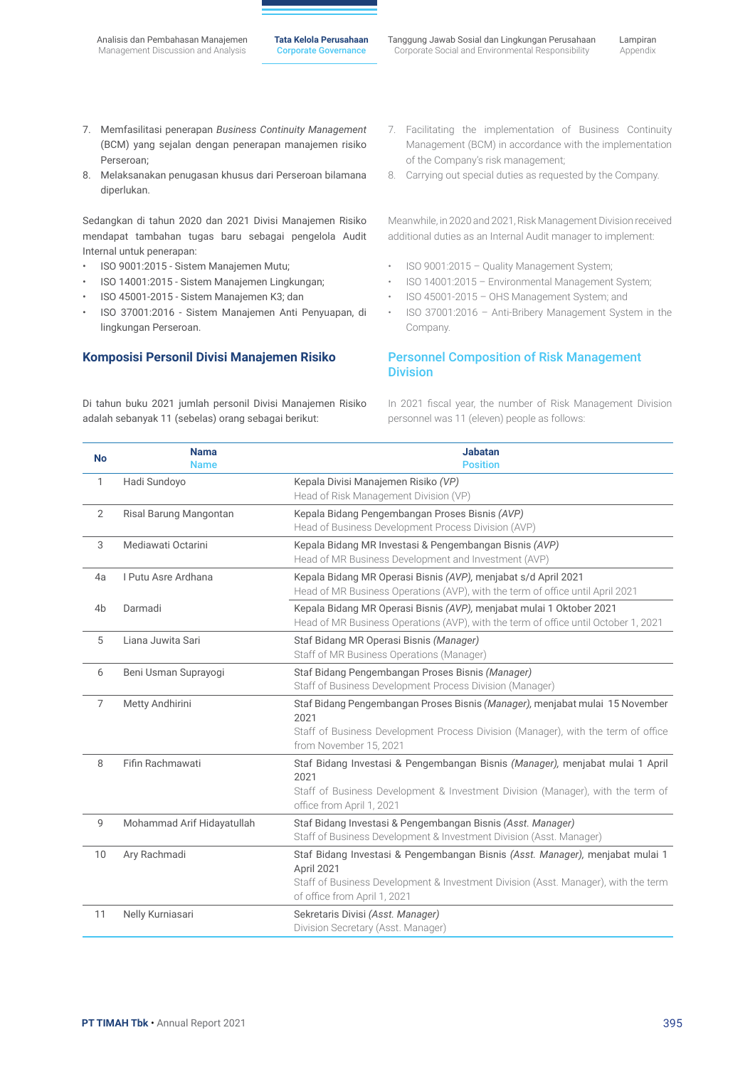- 7. Memfasilitasi penerapan *Business Continuity Management* (BCM) yang sejalan dengan penerapan manajemen risiko Perseroan;
- 8. Melaksanakan penugasan khusus dari Perseroan bilamana diperlukan.

Sedangkan di tahun 2020 dan 2021 Divisi Manajemen Risiko mendapat tambahan tugas baru sebagai pengelola Audit Internal untuk penerapan:

- ISO 9001:2015 Sistem Manajemen Mutu;
- ISO 14001:2015 Sistem Manajemen Lingkungan;
- ISO 45001-2015 Sistem Manajemen K3; dan
- ISO 37001:2016 Sistem Manajemen Anti Penyuapan, di lingkungan Perseroan.

### **Komposisi Personil Divisi Manajemen Risiko**

Di tahun buku 2021 jumlah personil Divisi Manajemen Risiko adalah sebanyak 11 (sebelas) orang sebagai berikut:

- 7. Facilitating the implementation of Business Continuity Management (BCM) in accordance with the implementation of the Company's risk management;
- 8. Carrying out special duties as requested by the Company.

Meanwhile, in 2020 and 2021, Risk Management Division received additional duties as an Internal Audit manager to implement:

- ISO 9001:2015 Quality Management System;
- ISO 14001:2015 Environmental Management System;
- ISO 45001-2015 OHS Management System; and
- ISO 37001:2016 Anti-Bribery Management System in the Company.

### Personnel Composition of Risk Management **Division**

In 2021 fiscal year, the number of Risk Management Division personnel was 11 (eleven) people as follows:

| <b>No</b>      | <b>Nama</b><br><b>Name</b> | <b>Jabatan</b><br><b>Position</b>                                                                                                                                                                                 |
|----------------|----------------------------|-------------------------------------------------------------------------------------------------------------------------------------------------------------------------------------------------------------------|
| 1              | Hadi Sundoyo               | Kepala Divisi Manajemen Risiko (VP)<br>Head of Risk Management Division (VP)                                                                                                                                      |
| 2              | Risal Barung Mangontan     | Kepala Bidang Pengembangan Proses Bisnis (AVP)<br>Head of Business Development Process Division (AVP)                                                                                                             |
| 3              | Mediawati Octarini         | Kepala Bidang MR Investasi & Pengembangan Bisnis (AVP)<br>Head of MR Business Development and Investment (AVP)                                                                                                    |
| 4a             | I Putu Asre Ardhana        | Kepala Bidang MR Operasi Bisnis (AVP), menjabat s/d April 2021<br>Head of MR Business Operations (AVP), with the term of office until April 2021                                                                  |
| 4 <sub>b</sub> | Darmadi                    | Kepala Bidang MR Operasi Bisnis (AVP), menjabat mulai 1 Oktober 2021<br>Head of MR Business Operations (AVP), with the term of office until October 1, 2021                                                       |
| 5              | Liana Juwita Sari          | Staf Bidang MR Operasi Bisnis (Manager)<br>Staff of MR Business Operations (Manager)                                                                                                                              |
| 6              | Beni Usman Suprayogi       | Staf Bidang Pengembangan Proses Bisnis (Manager)<br>Staff of Business Development Process Division (Manager)                                                                                                      |
| $\overline{7}$ | Metty Andhirini            | Staf Bidang Pengembangan Proses Bisnis (Manager), menjabat mulai 15 November<br>2021<br>Staff of Business Development Process Division (Manager), with the term of office<br>from November 15, 2021               |
| 8              | Fifin Rachmawati           | Staf Bidang Investasi & Pengembangan Bisnis (Manager), menjabat mulai 1 April<br>2021<br>Staff of Business Development & Investment Division (Manager), with the term of<br>office from April 1, 2021             |
| $\overline{9}$ | Mohammad Arif Hidayatullah | Staf Bidang Investasi & Pengembangan Bisnis (Asst. Manager)<br>Staff of Business Development & Investment Division (Asst. Manager)                                                                                |
| 10             | Ary Rachmadi               | Staf Bidang Investasi & Pengembangan Bisnis (Asst. Manager), menjabat mulai 1<br>April 2021<br>Staff of Business Development & Investment Division (Asst. Manager), with the term<br>of office from April 1, 2021 |
| 11             | Nelly Kurniasari           | Sekretaris Divisi (Asst. Manager)<br>Division Secretary (Asst. Manager)                                                                                                                                           |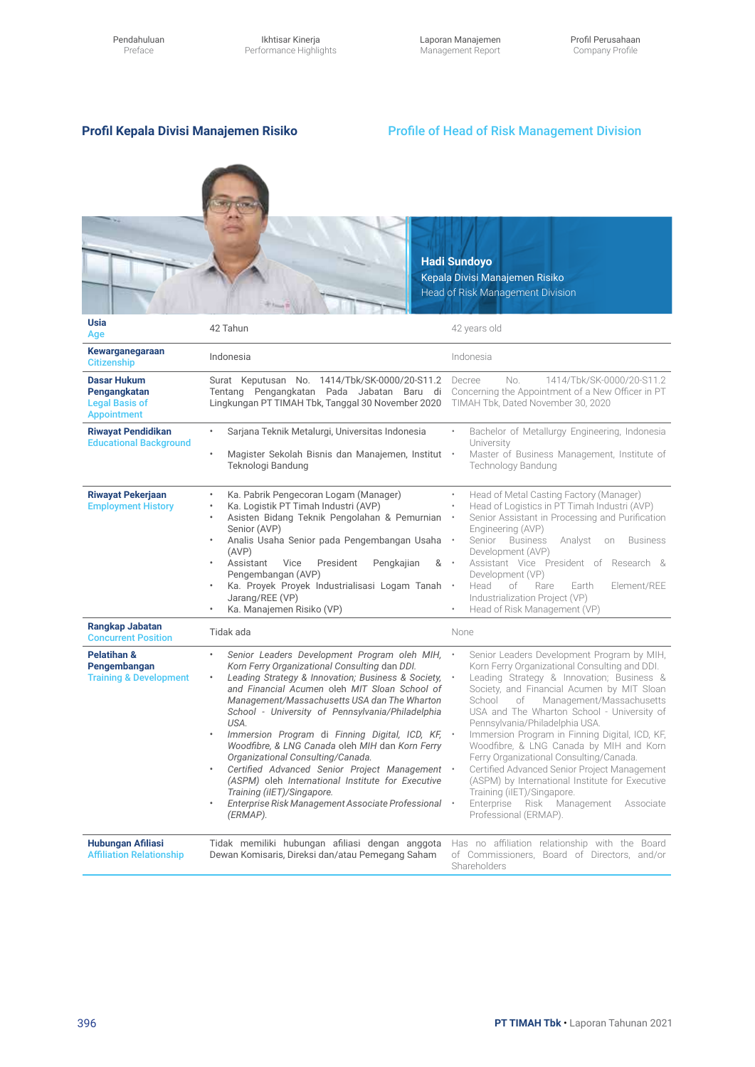Ikhtisar Kinerja Performance Highlights Laporan Manajemen Management Report

## **Profil Kepala Divisi Manajemen Risiko**

### Profile of Head of Risk Management Division

|                                                                                   |                                                                                                                                                                                                                                                                                                                                                                                                                                                                                                                                                                                                                                                                     | <b>Hadi Sundoyo</b><br>Kepala Divisi Manajemen Risiko<br>Head of Risk Management Division                                                                                                                                                                                                                                                                                                                                                                                                                                                                                                                                                                                       |
|-----------------------------------------------------------------------------------|---------------------------------------------------------------------------------------------------------------------------------------------------------------------------------------------------------------------------------------------------------------------------------------------------------------------------------------------------------------------------------------------------------------------------------------------------------------------------------------------------------------------------------------------------------------------------------------------------------------------------------------------------------------------|---------------------------------------------------------------------------------------------------------------------------------------------------------------------------------------------------------------------------------------------------------------------------------------------------------------------------------------------------------------------------------------------------------------------------------------------------------------------------------------------------------------------------------------------------------------------------------------------------------------------------------------------------------------------------------|
| <b>Usia</b><br>Age                                                                | 42 Tahun                                                                                                                                                                                                                                                                                                                                                                                                                                                                                                                                                                                                                                                            | 42 years old                                                                                                                                                                                                                                                                                                                                                                                                                                                                                                                                                                                                                                                                    |
| Kewarganegaraan<br><b>Citizenship</b>                                             | Indonesia                                                                                                                                                                                                                                                                                                                                                                                                                                                                                                                                                                                                                                                           | Indonesia                                                                                                                                                                                                                                                                                                                                                                                                                                                                                                                                                                                                                                                                       |
| <b>Dasar Hukum</b><br>Pengangkatan<br><b>Legal Basis of</b><br><b>Appointment</b> | Surat Keputusan No. 1414/Tbk/SK-0000/20-S11.2 Decree<br>Tentang Pengangkatan Pada Jabatan Baru di Concerning the Appointment of a New Officer in PT<br>Lingkungan PT TIMAH Tbk, Tanggal 30 November 2020 TIMAH Tbk, Dated November 30, 2020                                                                                                                                                                                                                                                                                                                                                                                                                         | No.<br>1414/Tbk/SK-0000/20-S11.2                                                                                                                                                                                                                                                                                                                                                                                                                                                                                                                                                                                                                                                |
| <b>Riwayat Pendidikan</b><br><b>Educational Background</b>                        | Sarjana Teknik Metalurgi, Universitas Indonesia<br>٠<br>Magister Sekolah Bisnis dan Manajemen, Institut ·<br>$\bullet$<br>Teknologi Bandung                                                                                                                                                                                                                                                                                                                                                                                                                                                                                                                         | Bachelor of Metallurgy Engineering, Indonesia<br>University<br>Master of Business Management, Institute of<br><b>Technology Bandung</b>                                                                                                                                                                                                                                                                                                                                                                                                                                                                                                                                         |
| <b>Riwayat Pekerjaan</b><br><b>Employment History</b>                             | Ka. Pabrik Pengecoran Logam (Manager)<br>Ka. Logistik PT Timah Industri (AVP)<br>Asisten Bidang Teknik Pengolahan & Pemurnian<br>Senior (AVP)<br>Analis Usaha Senior pada Pengembangan Usaha<br>(AVP)<br>Assistant<br>Vice<br>President<br>Pengkajian<br>&<br>Pengembangan (AVP)<br>Ka. Proyek Proyek Industrialisasi Logam Tanah .<br>Jarang/REE (VP)<br>Ka. Manajemen Risiko (VP)                                                                                                                                                                                                                                                                                 | Head of Metal Casting Factory (Manager)<br>Head of Logistics in PT Timah Industri (AVP)<br>Senior Assistant in Processing and Purification<br>Engineering (AVP)<br>Senior Business<br><b>Business</b><br>Analyst<br>on<br>Development (AVP)<br>Assistant Vice President of Research &<br>Development (VP)<br>Head<br>of<br>Rare<br>Element/REE<br>Earth<br>Industrialization Project (VP)<br>Head of Risk Management (VP)                                                                                                                                                                                                                                                       |
| Rangkap Jabatan<br><b>Concurrent Position</b>                                     | Tidak ada                                                                                                                                                                                                                                                                                                                                                                                                                                                                                                                                                                                                                                                           | None                                                                                                                                                                                                                                                                                                                                                                                                                                                                                                                                                                                                                                                                            |
| <b>Pelatihan &amp;</b><br>Pengembangan<br><b>Training &amp; Development</b>       | Senior Leaders Development Program oleh MIH,<br>Korn Ferry Organizational Consulting dan DDI.<br>Leading Strategy & Innovation; Business & Society,<br>and Financial Acumen oleh MIT Sloan School of<br>Management/Massachusetts USA dan The Wharton<br>School - University of Pennsylvania/Philadelphia<br>USA.<br>Immersion Program di Finning Digital, ICD, KF,<br>Woodfibre, & LNG Canada oleh MIH dan Korn Ferry<br>Organizational Consulting/Canada.<br>Certified Advanced Senior Project Management<br>(ASPM) oleh International Institute for Executive<br>Training (iIET)/Singapore.<br>Enterprise Risk Management Associate Professional<br>٠<br>(ERMAP). | Senior Leaders Development Program by MIH,<br>Korn Ferry Organizational Consulting and DDI.<br>Leading Strategy & Innovation; Business &<br>Society, and Financial Acumen by MIT Sloan<br>School<br>Management/Massachusetts<br>of<br>USA and The Wharton School - University of<br>Pennsylvania/Philadelphia USA.<br>Immersion Program in Finning Digital, ICD, KF,<br>Woodfibre, & LNG Canada by MIH and Korn<br>Ferry Organizational Consulting/Canada.<br>Certified Advanced Senior Project Management<br>(ASPM) by International Institute for Executive<br>Training (iIET)/Singapore.<br>Enterprise<br>$\bullet$<br>Risk Management<br>Associate<br>Professional (ERMAP). |
| <b>Hubungan Afiliasi</b><br><b>Affiliation Relationship</b>                       | Tidak memiliki hubungan afiliasi dengan anggota<br>Dewan Komisaris, Direksi dan/atau Pemegang Saham                                                                                                                                                                                                                                                                                                                                                                                                                                                                                                                                                                 | Has no affiliation relationship with the Board<br>of Commissioners, Board of Directors, and/or<br>Shareholders                                                                                                                                                                                                                                                                                                                                                                                                                                                                                                                                                                  |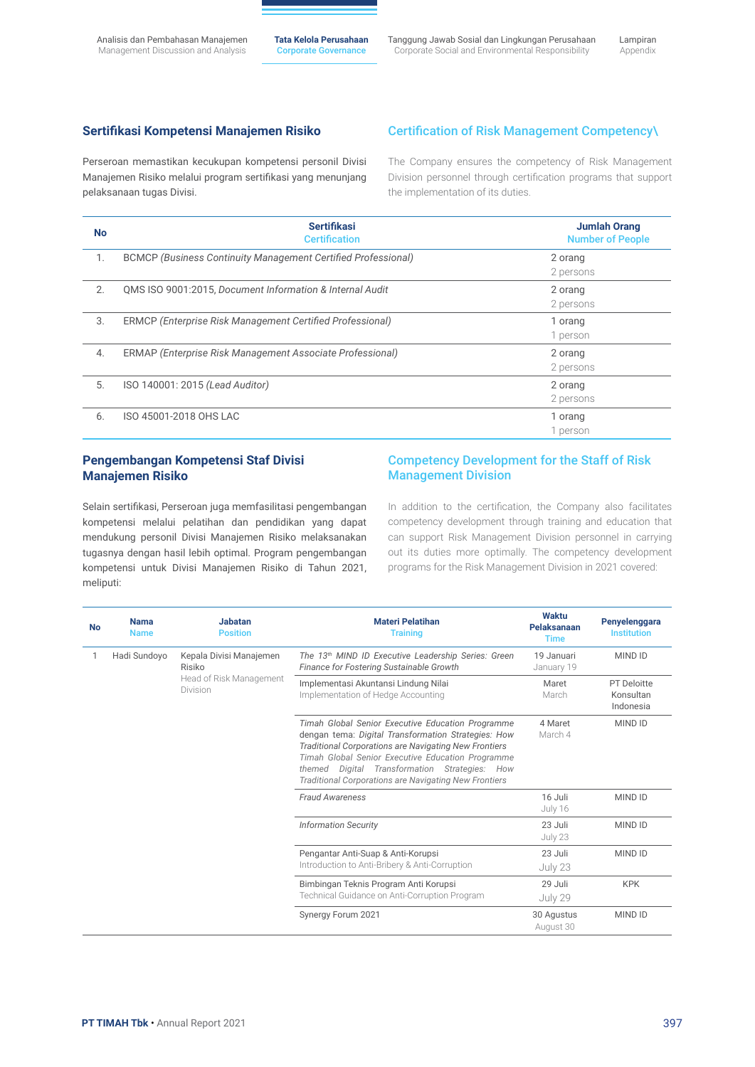Tanggung Jawab Sosial dan Lingkungan Perusahaan Corporate Social and Environmental Responsibility

Lampiran Appendix

### **Sertifikasi Kompetensi Manajemen Risiko**

### Certification of Risk Management Competency\

Perseroan memastikan kecukupan kompetensi personil Divisi Manajemen Risiko melalui program sertifikasi yang menunjang pelaksanaan tugas Divisi.

The Company ensures the competency of Risk Management Division personnel through certification programs that support the implementation of its duties.

| <b>No</b> | <b>Sertifikasi</b><br><b>Certification</b>                           | <b>Jumlah Orang</b><br><b>Number of People</b> |
|-----------|----------------------------------------------------------------------|------------------------------------------------|
| 1.        | <b>BCMCP (Business Continuity Management Certified Professional)</b> | 2 orang<br>2 persons                           |
| 2.        | QMS ISO 9001:2015, Document Information & Internal Audit             | 2 orang<br>2 persons                           |
| 3.        | ERMCP (Enterprise Risk Management Certified Professional)            | 1 orang<br>1 person                            |
| 4.        | ERMAP (Enterprise Risk Management Associate Professional)            | 2 orang<br>2 persons                           |
| 5.        | ISO 140001: 2015 (Lead Auditor)                                      | 2 orang<br>2 persons                           |
| 6.        | ISO 45001-2018 OHS LAC                                               | 1 orang<br>1 person                            |

### **Pengembangan Kompetensi Staf Divisi Manajemen Risiko**

### Competency Development for the Staff of Risk Management Division

Selain sertifikasi, Perseroan juga memfasilitasi pengembangan kompetensi melalui pelatihan dan pendidikan yang dapat mendukung personil Divisi Manajemen Risiko melaksanakan tugasnya dengan hasil lebih optimal. Program pengembangan kompetensi untuk Divisi Manajemen Risiko di Tahun 2021, meliputi:

In addition to the certification, the Company also facilitates competency development through training and education that can support Risk Management Division personnel in carrying out its duties more optimally. The competency development programs for the Risk Management Division in 2021 covered:

| <b>No</b> | <b>Nama</b><br><b>Name</b>                                                               | <b>Jabatan</b><br><b>Position</b>                                                                                                                                                                                                                                                                                                                 | <b>Materi Pelatihan</b><br><b>Training</b>                                             | Waktu<br>Pelaksanaan<br><b>Time</b>   | Penyelenggara<br><b>Institution</b> |
|-----------|------------------------------------------------------------------------------------------|---------------------------------------------------------------------------------------------------------------------------------------------------------------------------------------------------------------------------------------------------------------------------------------------------------------------------------------------------|----------------------------------------------------------------------------------------|---------------------------------------|-------------------------------------|
|           | Hadi Sundoyo<br>Kepala Divisi Manajemen<br>Risiko<br>Head of Risk Management<br>Division | The 13th MIND ID Executive Leadership Series: Green<br>Finance for Fostering Sustainable Growth                                                                                                                                                                                                                                                   | 19 Januari<br>January 19                                                               | <b>MIND ID</b>                        |                                     |
|           |                                                                                          | Implementasi Akuntansi Lindung Nilai<br>Implementation of Hedge Accounting                                                                                                                                                                                                                                                                        | Maret<br>March                                                                         | PT Deloitte<br>Konsultan<br>Indonesia |                                     |
|           |                                                                                          | Timah Global Senior Executive Education Programme<br>dengan tema: Digital Transformation Strategies: How<br><b>Traditional Corporations are Navigating New Frontiers</b><br>Timah Global Senior Executive Education Programme<br>Digital Transformation Strategies: How<br>themed<br><b>Traditional Corporations are Navigating New Frontiers</b> | 4 Maret<br>March 4                                                                     | <b>MIND ID</b>                        |                                     |
|           |                                                                                          |                                                                                                                                                                                                                                                                                                                                                   | <b>Fraud Awareness</b>                                                                 | 16 Juli<br>July 16                    | <b>MIND ID</b>                      |
|           |                                                                                          |                                                                                                                                                                                                                                                                                                                                                   | <b>Information Security</b>                                                            | 23 Juli<br>July 23                    | <b>MIND ID</b>                      |
|           |                                                                                          |                                                                                                                                                                                                                                                                                                                                                   | Pengantar Anti-Suap & Anti-Korupsi<br>Introduction to Anti-Bribery & Anti-Corruption   | 23 Juli<br>July 23                    | <b>MIND ID</b>                      |
|           |                                                                                          |                                                                                                                                                                                                                                                                                                                                                   | Bimbingan Teknis Program Anti Korupsi<br>Technical Guidance on Anti-Corruption Program | 29 Juli<br>July 29                    | <b>KPK</b>                          |
|           |                                                                                          |                                                                                                                                                                                                                                                                                                                                                   | Synergy Forum 2021                                                                     | 30 Agustus<br>August 30               | <b>MIND ID</b>                      |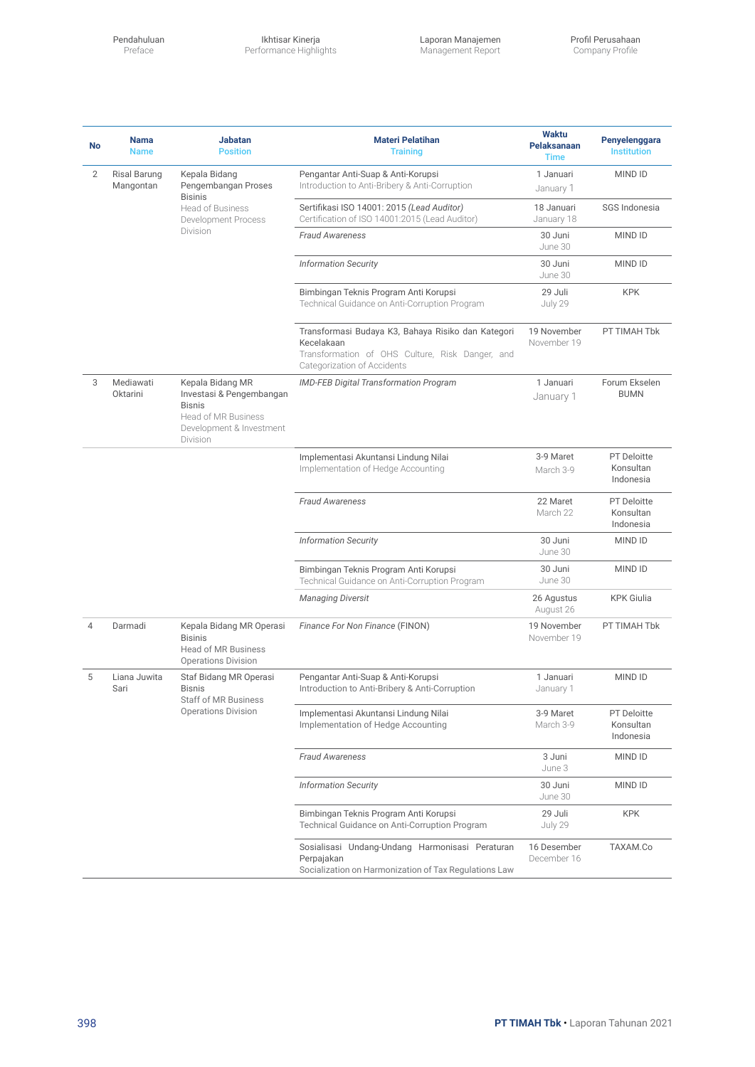Pendahuluan Preface

Ikhtisar Kinerja Performance Highlights Laporan Manajemen Management Report

| No | <b>Nama</b><br><b>Name</b>                                                                                                                          | <b>Jabatan</b><br><b>Position</b>                                                                                            | <b>Materi Pelatihan</b><br><b>Training</b>                                                                                                         | <b>Waktu</b><br><b>Pelaksanaan</b><br><b>Time</b> | Penyelenggara<br><b>Institution</b>          |
|----|-----------------------------------------------------------------------------------------------------------------------------------------------------|------------------------------------------------------------------------------------------------------------------------------|----------------------------------------------------------------------------------------------------------------------------------------------------|---------------------------------------------------|----------------------------------------------|
| 2  | Kepala Bidang<br><b>Risal Barung</b><br>Pengembangan Proses<br>Mangontan<br><b>Bisinis</b><br><b>Head of Business</b><br><b>Development Process</b> | Pengantar Anti-Suap & Anti-Korupsi<br>Introduction to Anti-Bribery & Anti-Corruption                                         | 1 Januari<br>January 1                                                                                                                             | <b>MIND ID</b>                                    |                                              |
|    |                                                                                                                                                     |                                                                                                                              | Sertifikasi ISO 14001: 2015 (Lead Auditor)<br>Certification of ISO 14001:2015 (Lead Auditor)                                                       | 18 Januari<br>January 18                          | SGS Indonesia                                |
|    |                                                                                                                                                     | Division                                                                                                                     | <b>Fraud Awareness</b>                                                                                                                             | 30 Juni<br>June 30                                | <b>MIND ID</b>                               |
|    |                                                                                                                                                     |                                                                                                                              | <b>Information Security</b>                                                                                                                        | 30 Juni<br>June 30                                | <b>MIND ID</b>                               |
|    |                                                                                                                                                     |                                                                                                                              | Bimbingan Teknis Program Anti Korupsi<br>Technical Guidance on Anti-Corruption Program                                                             | 29 Juli<br>July 29                                | <b>KPK</b>                                   |
|    |                                                                                                                                                     |                                                                                                                              | Transformasi Budaya K3, Bahaya Risiko dan Kategori<br>Kecelakaan<br>Transformation of OHS Culture, Risk Danger, and<br>Categorization of Accidents | 19 November<br>November 19                        | PT TIMAH Tbk                                 |
| 3  | Mediawati<br>Oktarini                                                                                                                               | Kepala Bidang MR<br>Investasi & Pengembangan<br><b>Bisnis</b><br>Head of MR Business<br>Development & Investment<br>Division | <b>IMD-FEB Digital Transformation Program</b>                                                                                                      | 1 Januari<br>January 1                            | Forum Ekselen<br><b>BUMN</b>                 |
|    |                                                                                                                                                     |                                                                                                                              | Implementasi Akuntansi Lindung Nilai<br>Implementation of Hedge Accounting                                                                         | 3-9 Maret<br>March 3-9                            | <b>PT</b> Deloitte<br>Konsultan<br>Indonesia |
|    |                                                                                                                                                     |                                                                                                                              | <b>Fraud Awareness</b>                                                                                                                             | 22 Maret<br>March 22                              | <b>PT</b> Deloitte<br>Konsultan<br>Indonesia |
|    |                                                                                                                                                     |                                                                                                                              | <b>Information Security</b>                                                                                                                        | 30 Juni<br>June 30                                | <b>MIND ID</b>                               |
|    |                                                                                                                                                     |                                                                                                                              | Bimbingan Teknis Program Anti Korupsi<br>Technical Guidance on Anti-Corruption Program                                                             | 30 Juni<br>June 30                                | <b>MIND ID</b>                               |
|    |                                                                                                                                                     |                                                                                                                              | <b>Managing Diversit</b>                                                                                                                           | 26 Agustus<br>August 26                           | <b>KPK Giulia</b>                            |
| 4  | Darmadi                                                                                                                                             | Kepala Bidang MR Operasi<br><b>Bisinis</b><br><b>Head of MR Business</b><br><b>Operations Division</b>                       | Finance For Non Finance (FINON)                                                                                                                    | 19 November<br>November 19                        | PT TIMAH Tbk                                 |
| 5  | Liana Juwita<br>Sari<br><b>Bisnis</b><br>Staff of MR Business<br><b>Operations Division</b>                                                         | Staf Bidang MR Operasi                                                                                                       | Pengantar Anti-Suap & Anti-Korupsi<br>Introduction to Anti-Bribery & Anti-Corruption                                                               | 1 Januari<br>January 1                            | <b>MIND ID</b>                               |
|    |                                                                                                                                                     |                                                                                                                              | Implementasi Akuntansi Lindung Nilai<br>Implementation of Hedge Accounting                                                                         | 3-9 Maret<br>March 3-9                            | <b>PT Deloitte</b><br>Konsultan<br>Indonesia |
|    |                                                                                                                                                     |                                                                                                                              | <b>Fraud Awareness</b>                                                                                                                             | 3 Juni<br>June 3                                  | MIND ID                                      |
|    |                                                                                                                                                     |                                                                                                                              | <b>Information Security</b>                                                                                                                        | 30 Juni<br>June 30                                | MIND ID                                      |
|    |                                                                                                                                                     |                                                                                                                              | Bimbingan Teknis Program Anti Korupsi<br>Technical Guidance on Anti-Corruption Program                                                             | 29 Juli<br>July 29                                | <b>KPK</b>                                   |
|    |                                                                                                                                                     |                                                                                                                              | Sosialisasi Undang-Undang Harmonisasi Peraturan<br>Perpajakan<br>Socialization on Harmonization of Tax Regulations Law                             | 16 Desember<br>December 16                        | TAXAM.Co                                     |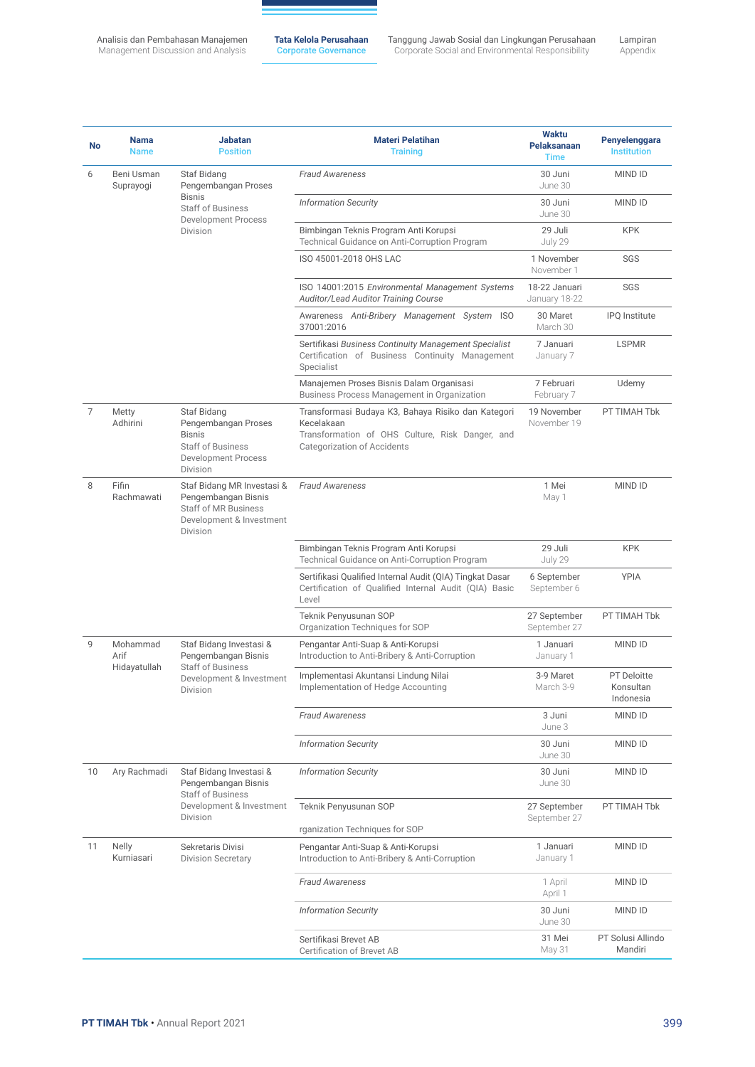**Tata Kelola Perusahaan** Corporate Governance

Lampiran Appendix Tanggung Jawab Sosial dan Lingkungan Perusahaan Corporate Social and Environmental Responsibility

**No Nama** Name **Jabatan** Position **Materi Pelatihan Training Waktu Pelaksanaan Time Penyelenggara** Institution 6 Beni Usman Suprayogi Staf Bidang Pengembangan Proses Bisnis Staff of Business Development Process Division *Fraud Awareness* 30 Juni June 30 MIND ID *Information Security* 30 Juni June 30 MIND ID Bimbingan Teknis Program Anti Korupsi Technical Guidance on Anti-Corruption Program 29 Juli July 29 KPK ISO 45001-2018 OHS LAC 1 November November 1 SGS ISO 14001:2015 *Environmental Management Systems Auditor/Lead Auditor Training Course* 18-22 Januari January 18-22 SGS Awareness *Anti-Bribery Management System* ISO 37001:2016 30 Maret March 30 IPQ Institute Sertifikasi *Business Continuity Management Specialist* Certification of Business Continuity Management Specialist 7 Januari January 7 LSPMR Manajemen Proses Bisnis Dalam Organisasi Business Process Management in Organization 7 Februari February 7 Udemy 7 Metty Adhirini Staf Bidang Pengembangan Proses Bisnis Staff of Business Development Process Division Transformasi Budaya K3, Bahaya Risiko dan Kategori Kecelakaan Transformation of OHS Culture, Risk Danger, and Categorization of Accidents 19 November November 19 PT TIMAH Tbk 8 Fifin Rachmawati Staf Bidang MR Investasi & Pengembangan Bisnis Staff of MR Business Development & Investment Division *Fraud Awareness* 1 Mei May 1 MIND ID Bimbingan Teknis Program Anti Korupsi Technical Guidance on Anti-Corruption Program 29 Juli July 29 KPK Sertifikasi Qualified Internal Audit (QIA) Tingkat Dasar Certification of Qualified Internal Audit (QIA) Basic Level 6 September September 6 YPIA Teknik Penyusunan SOP Organization Techniques for SOP 27 September September 27 PT TIMAH Tbk 9 Mohammad Arif Hidayatullah Staf Bidang Investasi & Pengembangan Bisnis Staff of Business Development & Investment Division Pengantar Anti-Suap & Anti-Korupsi Introduction to Anti-Bribery & Anti-Corruption 1 Januari January 1 MIND ID Implementasi Akuntansi Lindung Nilai Implementation of Hedge Accounting 3-9 Maret March 3-9 PT Deloitte Konsultan Indonesia *Fraud Awareness* 3 Juni June 3 MIND ID *Information Security* 30 Juni June 30 MIND ID 10 Ary Rachmadi Staf Bidang Investasi & Pengembangan Bisnis Staff of Business Development & Investment Division *Information Security* 30 Juni June 30 MIND ID Teknik Penyusunan SOP rganization Techniques for SOP 27 September September 27 PT TIMAH Tbk 11 Nelly Kurniasari Sekretaris Divisi Division Secretary Pengantar Anti-Suap & Anti-Korupsi Introduction to Anti-Bribery & Anti-Corruption 1 Januari January 1 MIND ID **Fraud Awareness** 1 April April 1 MIND ID *Information Security* 30 Juni June 30 MIND ID Sertifikasi Brevet AB Certification of Brevet AB 31 Mei May 31 PT Solusi Allindo Mandiri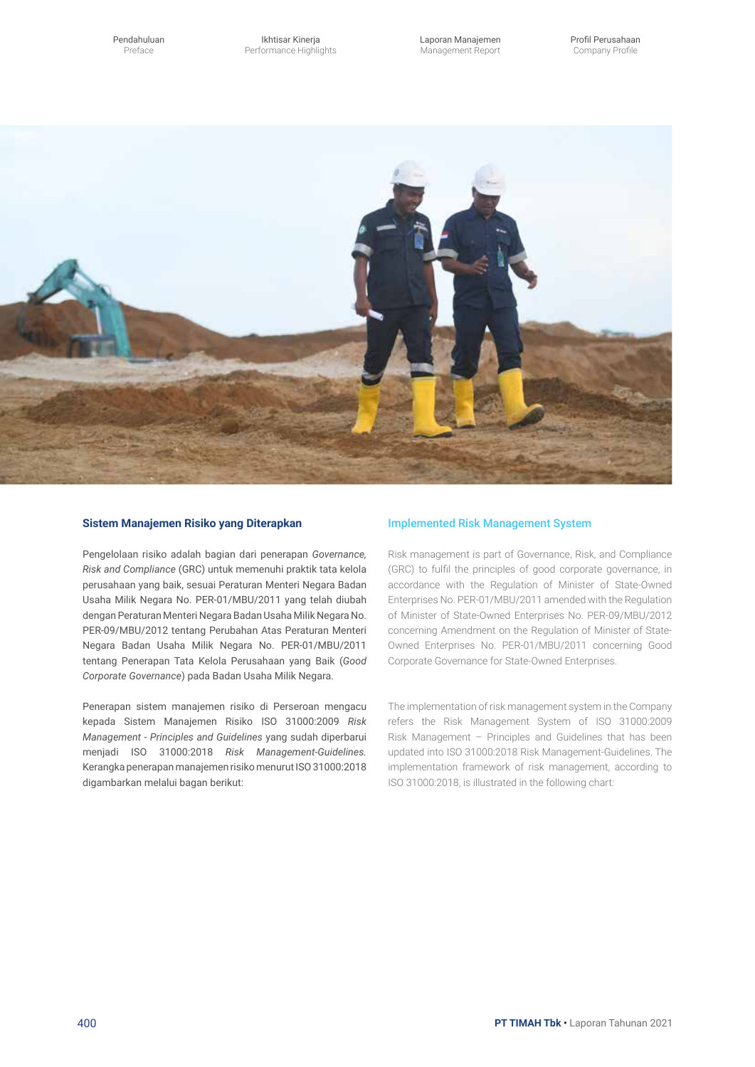Ikhtisar Kinerja Performance Highlights Laporan Manajemen Management Report



### **Sistem Manajemen Risiko yang Diterapkan**

Pengelolaan risiko adalah bagian dari penerapan *Governance, Risk and Compliance* (GRC) untuk memenuhi praktik tata kelola perusahaan yang baik, sesuai Peraturan Menteri Negara Badan Usaha Milik Negara No. PER-01/MBU/2011 yang telah diubah dengan Peraturan Menteri Negara Badan Usaha Milik Negara No. PER-09/MBU/2012 tentang Perubahan Atas Peraturan Menteri Negara Badan Usaha Milik Negara No. PER-01/MBU/2011 tentang Penerapan Tata Kelola Perusahaan yang Baik (*Good Corporate Governance*) pada Badan Usaha Milik Negara.

Penerapan sistem manajemen risiko di Perseroan mengacu kepada Sistem Manajemen Risiko ISO 31000:2009 *Risk Management - Principles and Guidelines* yang sudah diperbarui menjadi ISO 31000:2018 *Risk Management-Guidelines.* Kerangka penerapan manajemen risiko menurut ISO 31000:2018 digambarkan melalui bagan berikut:

### Implemented Risk Management System

Risk management is part of Governance, Risk, and Compliance (GRC) to fulfil the principles of good corporate governance, in accordance with the Regulation of Minister of State-Owned Enterprises No. PER-01/MBU/2011 amended with the Regulation of Minister of State-Owned Enterprises No. PER-09/MBU/2012 concerning Amendment on the Regulation of Minister of State-Owned Enterprises No. PER-01/MBU/2011 concerning Good Corporate Governance for State-Owned Enterprises.

The implementation of risk management system in the Company refers the Risk Management System of ISO 31000:2009 Risk Management – Principles and Guidelines that has been updated into ISO 31000:2018 Risk Management-Guidelines. The implementation framework of risk management, according to ISO 31000:2018, is illustrated in the following chart: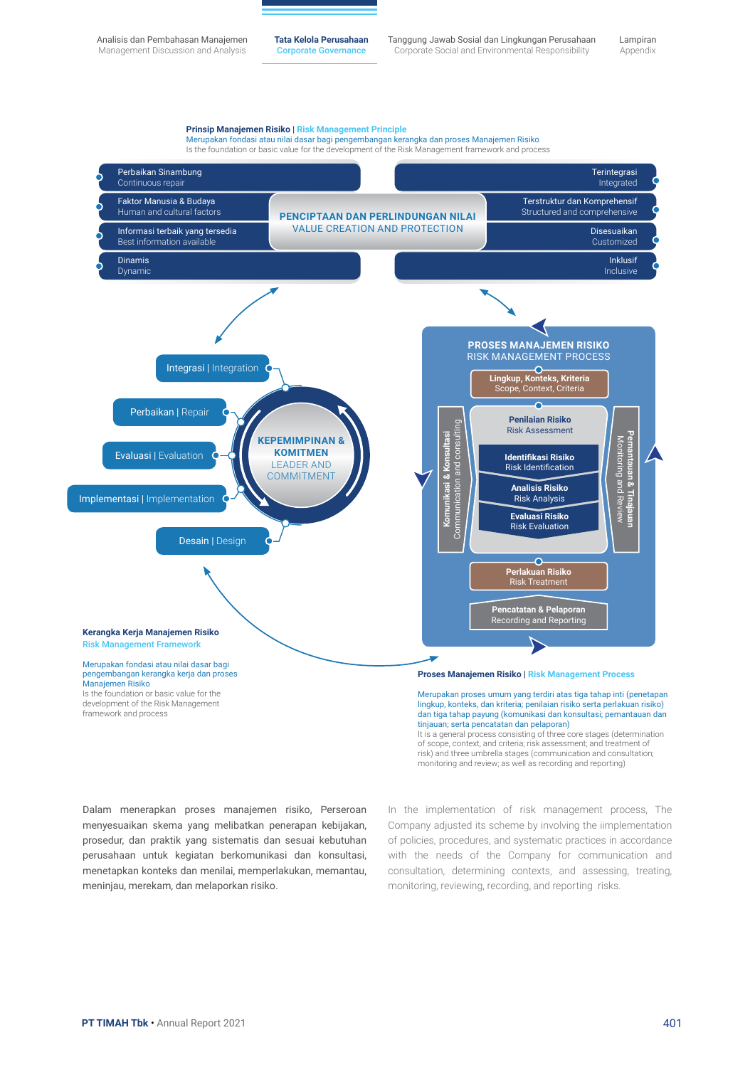Analisis dan Pembahasan Manajemen Management Discussion and Analysis

**Tata Kelola Perusahaan** Corporate Governance

Tanggung Jawab Sosial dan Lingkungan Perusahaan Corporate Social and Environmental Responsibility

Lampiran Appendix



risk) and three umbrella stages (communication and consultation; monitoring and review; as well as recording and reporting)

Dalam menerapkan proses manajemen risiko, Perseroan menyesuaikan skema yang melibatkan penerapan kebijakan, prosedur, dan praktik yang sistematis dan sesuai kebutuhan perusahaan untuk kegiatan berkomunikasi dan konsultasi, menetapkan konteks dan menilai, memperlakukan, memantau, meninjau, merekam, dan melaporkan risiko.

In the implementation of risk management process, The Company adjusted its scheme by involving the iimplementation of policies, procedures, and systematic practices in accordance with the needs of the Company for communication and consultation, determining contexts, and assessing, treating, monitoring, reviewing, recording, and reporting risks.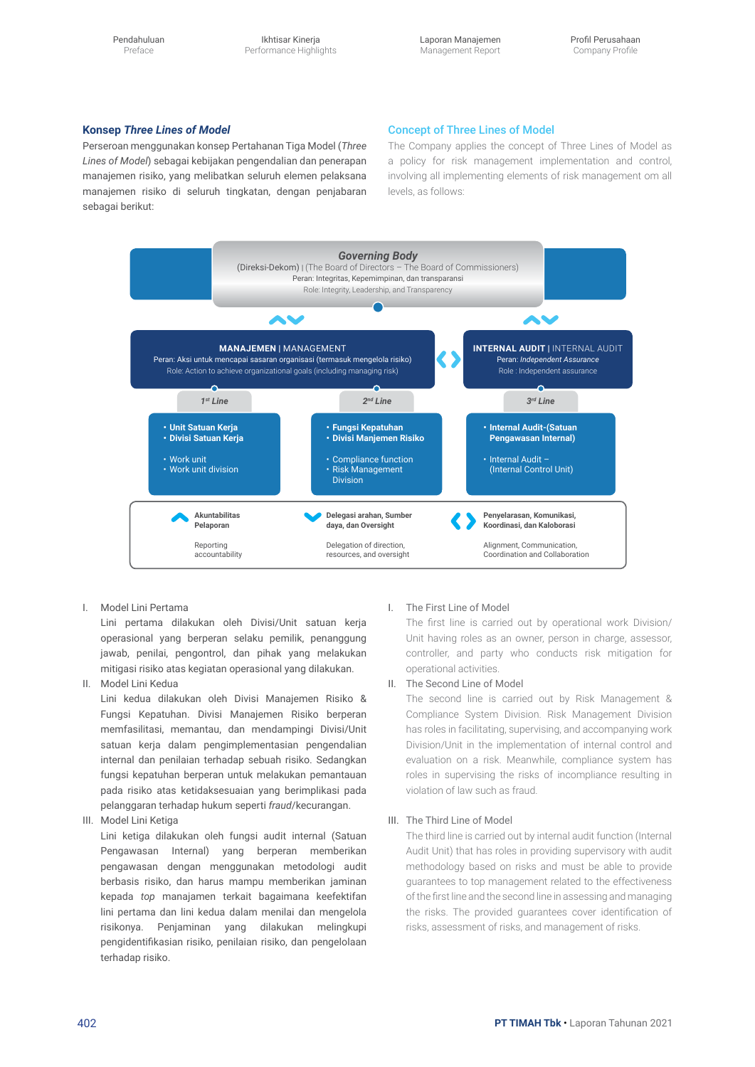Pendahuluan Preface

Ikhtisar Kinerja Performance Highlights Laporan Manajemen Management Report

### **Konsep** *Three Lines of Model*

Perseroan menggunakan konsep Pertahanan Tiga Model (*Three Lines of Model*) sebagai kebijakan pengendalian dan penerapan manajemen risiko, yang melibatkan seluruh elemen pelaksana manajemen risiko di seluruh tingkatan, dengan penjabaran sebagai berikut:

#### Concept of Three Lines of Model

The Company applies the concept of Three Lines of Model as a policy for risk management implementation and control, involving all implementing elements of risk management om all levels, as follows:



I. Model Lini Pertama

Lini pertama dilakukan oleh Divisi/Unit satuan kerja operasional yang berperan selaku pemilik, penanggung jawab, penilai, pengontrol, dan pihak yang melakukan mitigasi risiko atas kegiatan operasional yang dilakukan.

II. Model Lini Kedua

Lini kedua dilakukan oleh Divisi Manajemen Risiko & Fungsi Kepatuhan. Divisi Manajemen Risiko berperan memfasilitasi, memantau, dan mendampingi Divisi/Unit satuan kerja dalam pengimplementasian pengendalian internal dan penilaian terhadap sebuah risiko. Sedangkan fungsi kepatuhan berperan untuk melakukan pemantauan pada risiko atas ketidaksesuaian yang berimplikasi pada pelanggaran terhadap hukum seperti *fraud*/kecurangan.

III. Model Lini Ketiga

Lini ketiga dilakukan oleh fungsi audit internal (Satuan Pengawasan Internal) yang berperan memberikan pengawasan dengan menggunakan metodologi audit berbasis risiko, dan harus mampu memberikan jaminan kepada *top* manajamen terkait bagaimana keefektifan lini pertama dan lini kedua dalam menilai dan mengelola risikonya. Penjaminan yang dilakukan melingkupi pengidentifikasian risiko, penilaian risiko, dan pengelolaan terhadap risiko.

#### I. The First Line of Model

The first line is carried out by operational work Division/ Unit having roles as an owner, person in charge, assessor, controller, and party who conducts risk mitigation for operational activities.

#### II. The Second Line of Model

The second line is carried out by Risk Management & Compliance System Division. Risk Management Division has roles in facilitating, supervising, and accompanying work Division/Unit in the implementation of internal control and evaluation on a risk. Meanwhile, compliance system has roles in supervising the risks of incompliance resulting in violation of law such as fraud.

#### III. The Third Line of Model

The third line is carried out by internal audit function (Internal Audit Unit) that has roles in providing supervisory with audit methodology based on risks and must be able to provide guarantees to top management related to the effectiveness of the first line and the second line in assessing and managing the risks. The provided guarantees cover identification of risks, assessment of risks, and management of risks.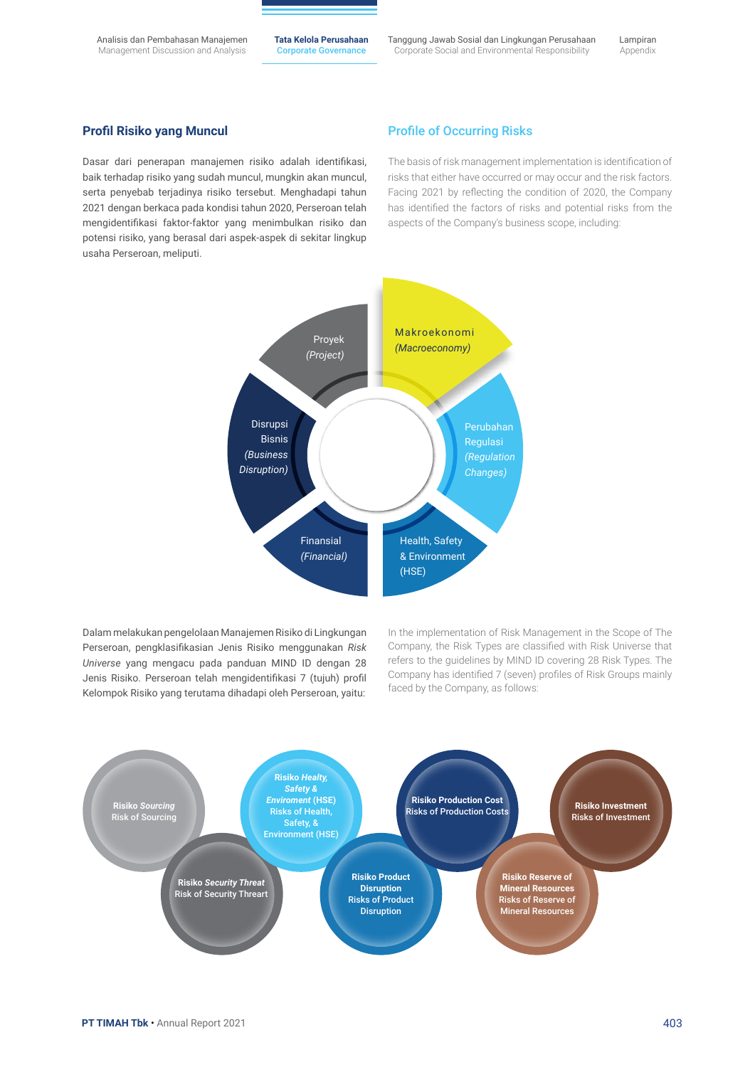Analisis dan Pembahasan Manajemen Management Discussion and Analysis

**Tata Kelola Perusahaan** Corporate Governance

Tanggung Jawab Sosial dan Lingkungan Perusahaan Corporate Social and Environmental Responsibility

### **Profil Risiko yang Muncul**

Dasar dari penerapan manajemen risiko adalah identifikasi, baik terhadap risiko yang sudah muncul, mungkin akan muncul, serta penyebab terjadinya risiko tersebut. Menghadapi tahun 2021 dengan berkaca pada kondisi tahun 2020, Perseroan telah mengidentifikasi faktor-faktor yang menimbulkan risiko dan potensi risiko, yang berasal dari aspek-aspek di sekitar lingkup usaha Perseroan, meliputi.

### Profile of Occurring Risks

The basis of risk management implementation is identification of risks that either have occurred or may occur and the risk factors. Facing 2021 by reflecting the condition of 2020, the Company has identified the factors of risks and potential risks from the aspects of the Company's business scope, including:



Dalam melakukan pengelolaan Manajemen Risiko di Lingkungan Perseroan, pengklasifikasian Jenis Risiko menggunakan *Risk Universe* yang mengacu pada panduan MIND ID dengan 28 Jenis Risiko. Perseroan telah mengidentifikasi 7 (tujuh) profil Kelompok Risiko yang terutama dihadapi oleh Perseroan, yaitu:

In the implementation of Risk Management in the Scope of The Company, the Risk Types are classified with Risk Universe that refers to the guidelines by MIND ID covering 28 Risk Types. The Company has identified 7 (seven) profiles of Risk Groups mainly faced by the Company, as follows:

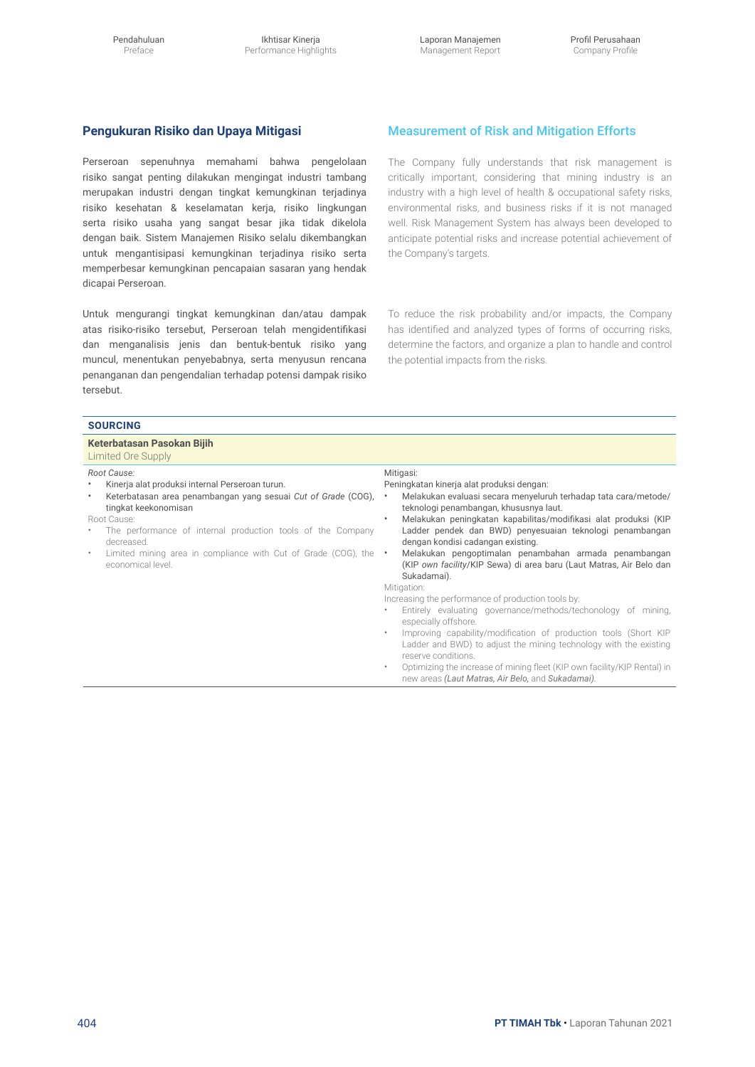### **Pengukuran Risiko dan Upaya Mitigasi**

Perseroan sepenuhnya memahami bahwa pengelolaan risiko sangat penting dilakukan mengingat industri tambang merupakan industri dengan tingkat kemungkinan terjadinya risiko kesehatan & keselamatan kerja, risiko lingkungan serta risiko usaha yang sangat besar jika tidak dikelola dengan baik. Sistem Manajemen Risiko selalu dikembangkan untuk mengantisipasi kemungkinan terjadinya risiko serta memperbesar kemungkinan pencapaian sasaran yang hendak dicapai Perseroan.

Untuk mengurangi tingkat kemungkinan dan/atau dampak atas risiko-risiko tersebut, Perseroan telah mengidentifikasi dan menganalisis jenis dan bentuk-bentuk risiko yang muncul, menentukan penyebabnya, serta menyusun rencana penanganan dan pengendalian terhadap potensi dampak risiko tersebut.

### Measurement of Risk and Mitigation Efforts

The Company fully understands that risk management is critically important, considering that mining industry is an industry with a high level of health & occupational safety risks, environmental risks, and business risks if it is not managed well. Risk Management System has always been developed to anticipate potential risks and increase potential achievement of the Company's targets.

To reduce the risk probability and/or impacts, the Company has identified and analyzed types of forms of occurring risks, determine the factors, and organize a plan to handle and control the potential impacts from the risks.

| <b>SOURCING</b>                                                                                                                                                                                                                                                                                                                                    |                                                                                                                                                                                                                                                                                                                                                                                                                                                                                                                                                                                                                                                                                                                                                                                                                                                                                                                                                                                                                |  |  |  |
|----------------------------------------------------------------------------------------------------------------------------------------------------------------------------------------------------------------------------------------------------------------------------------------------------------------------------------------------------|----------------------------------------------------------------------------------------------------------------------------------------------------------------------------------------------------------------------------------------------------------------------------------------------------------------------------------------------------------------------------------------------------------------------------------------------------------------------------------------------------------------------------------------------------------------------------------------------------------------------------------------------------------------------------------------------------------------------------------------------------------------------------------------------------------------------------------------------------------------------------------------------------------------------------------------------------------------------------------------------------------------|--|--|--|
| Keterbatasan Pasokan Bijih<br>Limited Ore Supply                                                                                                                                                                                                                                                                                                   |                                                                                                                                                                                                                                                                                                                                                                                                                                                                                                                                                                                                                                                                                                                                                                                                                                                                                                                                                                                                                |  |  |  |
| Root Cause:<br>Kinerja alat produksi internal Perseroan turun.<br>Keterbatasan area penambangan yang sesuai Cut of Grade (COG),<br>tingkat keekonomisan<br>Root Cause:<br>The performance of internal production tools of the Company<br>decreased.<br>Limited mining area in compliance with Cut of Grade (COG), the $\cdot$<br>economical level. | Mitigasi:<br>Peningkatan kinerja alat produksi dengan:<br>Melakukan evaluasi secara menyeluruh terhadap tata cara/metode/<br>$\bullet$<br>teknologi penambangan, khususnya laut.<br>Melakukan peningkatan kapabilitas/modifikasi alat produksi (KIP<br>$\bullet$<br>Ladder pendek dan BWD) penyesuaian teknologi penambangan<br>dengan kondisi cadangan existing.<br>Melakukan pengoptimalan penambahan armada penambangan<br>(KIP own facility/KIP Sewa) di area baru (Laut Matras, Air Belo dan<br>Sukadamai).<br>Mitigation:<br>Increasing the performance of production tools by:<br>Entirely evaluating governance/methods/techonology of mining,<br>$\bullet$<br>especially offshore.<br>Improving capability/modification of production tools (Short KIP<br>٠<br>Ladder and BWD) to adjust the mining technology with the existing<br>reserve conditions.<br>Optimizing the increase of mining fleet (KIP own facility/KIP Rental) in<br>$\bullet$<br>new areas (Laut Matras, Air Belo, and Sukadamai). |  |  |  |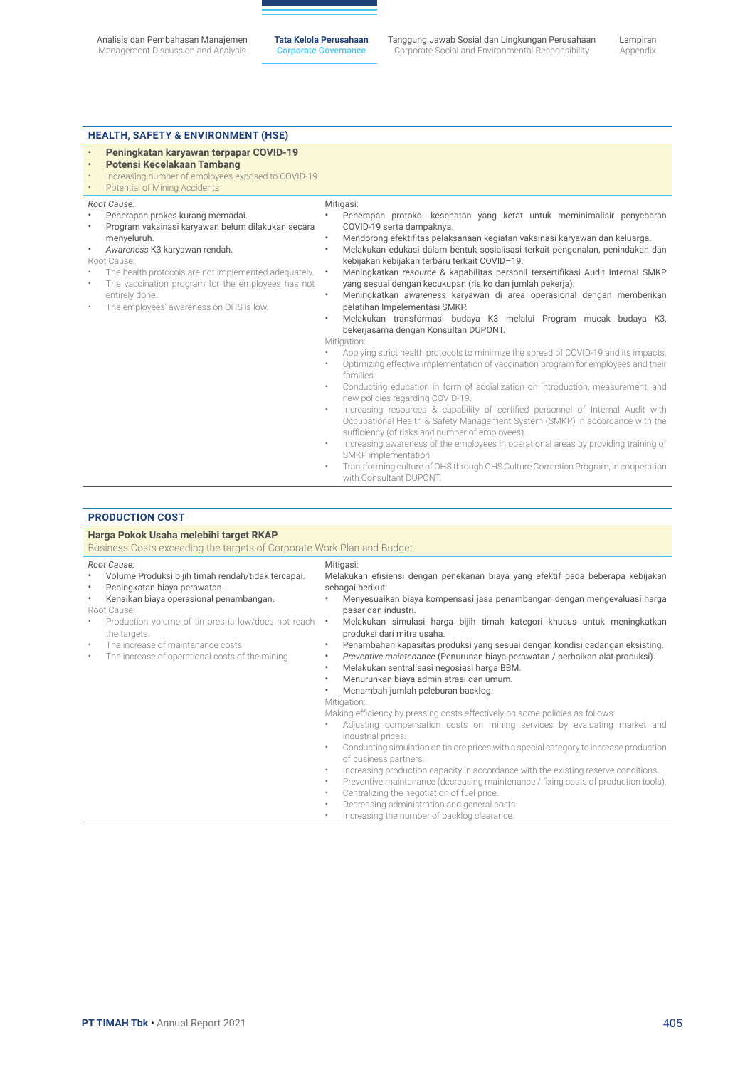#### **HEALTH, Safety & ENVIRONMENT (HSE)**

- **Peningkatan karyawan terpapar COVID-19**
- **Potensi Kecelakaan Tambang**
- Increasing number of employees exposed to COVID-19

• Program vaksinasi karyawan belum dilakukan secara

The health protocols are not implemented adequately. The vaccination program for the employees has not

Potential of Mining Accidents

The employees' awareness on OHS is low.

• Penerapan prokes kurang memadai.

• *Awareness* K3 karyawan rendah.

*Root Cause:*

Root Cause:

menyeluruh.

entirely done.

#### Mitigasi:

- Penerapan protokol kesehatan yang ketat untuk meminimalisir penyebaran COVID-19 serta dampaknya.
	- Mendorong efektifitas pelaksanaan kegiatan vaksinasi karyawan dan keluarga.
- Melakukan edukasi dalam bentuk sosialisasi terkait pengenalan, penindakan dan kebijakan kebijakan terbaru terkait COVID–19.
- Meningkatkan *resource* & kapabilitas personil tersertifikasi Audit Internal SMKP yang sesuai dengan kecukupan (risiko dan jumlah pekerja).
- Meningkatkan *awareness* karyawan di area operasional dengan memberikan pelatihan Impelementasi SMKP.
- Melakukan transformasi budaya K3 melalui Program mucak budaya K3, bekerjasama dengan Konsultan DUPONT.

#### Mitigation:

- Applying strict health protocols to minimize the spread of COVID-19 and its impacts. • Optimizing effective implementation of vaccination program for employees and their
- families.
- Conducting education in form of socialization on introduction, measurement, and new policies regarding COVID-19.
- Increasing resources & capability of certified personnel of Internal Audit with Occupational Health & Safety Management System (SMKP) in accordance with the sufficiency (of risks and number of employees).
- Increasing awareness of the employees in operational areas by providing training of SMKP implementation.
- Transforming culture of OHS through OHS Culture Correction Program, in cooperation with Consultant DUPONT.

#### **Production Cost**

### **Harga Pokok Usaha melebihi target RKAP**

Business Costs exceeding the targets of Corporate Work Plan and Budget

#### *Root Cause:*

- Volume Produksi bijih timah rendah/tidak tercapai.
- Peningkatan biaya perawatan.
- Kenaikan biaya operasional penambangan.
- Root Cause:
- Production volume of tin ores is low/does not reach the targets.
- The increase of maintenance costs
- The increase of operational costs of the mining.

#### • Menyesuaikan biaya kompensasi jasa penambangan dengan mengevaluasi harga pasar dan industri.

sebagai berikut:

Mitigasi:

• Melakukan simulasi harga bijih timah kategori khusus untuk meningkatkan produksi dari mitra usaha.

Melakukan efisiensi dengan penekanan biaya yang efektif pada beberapa kebijakan

- Penambahan kapasitas produksi yang sesuai dengan kondisi cadangan eksisting.
- *Preventive maintenance* (Penurunan biaya perawatan / perbaikan alat produksi).
- Melakukan sentralisasi negosiasi harga BBM.
- Menurunkan biaya administrasi dan umum.
- Menambah jumlah peleburan backlog.
- Mitigation:

Making efficiency by pressing costs effectively on some policies as follows:

- Adjusting compensation costs on mining services by evaluating market and industrial prices.
- Conducting simulation on tin ore prices with a special category to increase production of business partners.
- Increasing production capacity in accordance with the existing reserve conditions.
- Preventive maintenance (decreasing maintenance / fixing costs of production tools).
	- Centralizing the negotiation of fuel price.
- Decreasing administration and general costs.
- Increasing the number of backlog clearance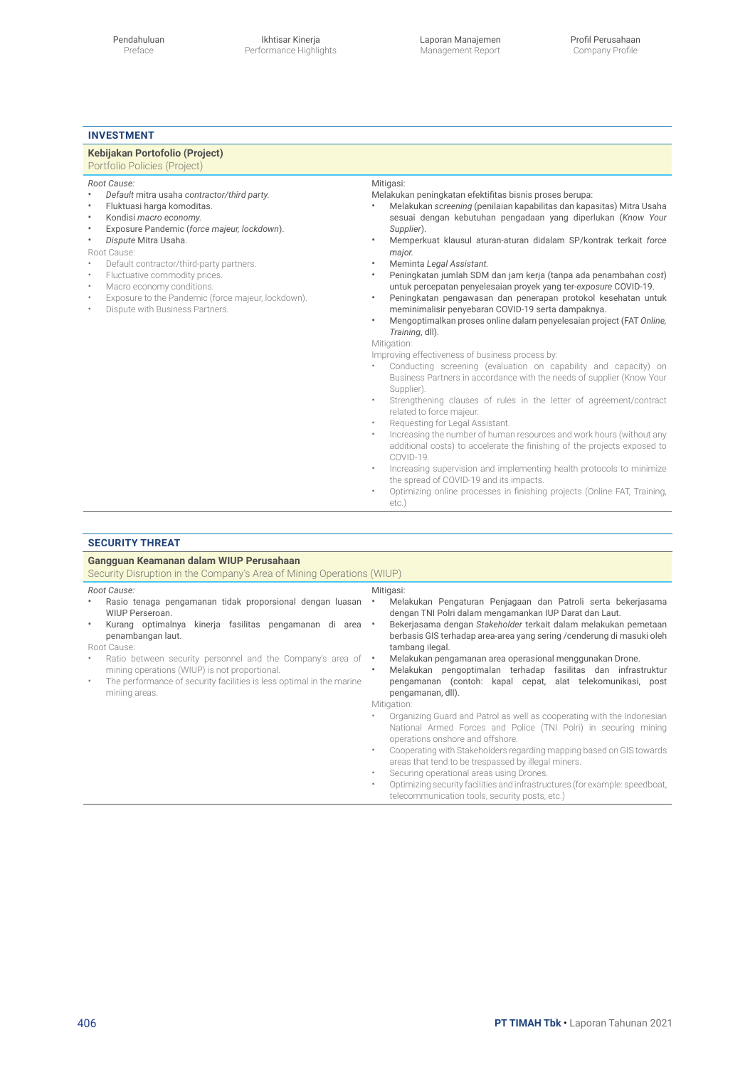### **Investment**

### **Kebijakan Portofolio (Project)**

## Portfolio Policies (Project)

*Root Cause:*

- *Default* mitra usaha *contractor/third party.*
- Fluktuasi harga komoditas.
- Kondisi *macro economy.*
- Exposure Pandemic (*force majeur, lockdown*).
- *Dispute* Mitra Usaha.

Root Cause:

- Default contractor/third-party partners.
- Fluctuative commodity prices.<br>• Macro economy conditions
- Macro economy conditions.
- 
- Exposure to the Pandemic (force majeur, lockdown). • Dispute with Business Partners.

#### Mitigasi:

Melakukan peningkatan efektifitas bisnis proses berupa:

- Melakukan *screening* (penilaian kapabilitas dan kapasitas) Mitra Usaha sesuai dengan kebutuhan pengadaan yang diperlukan (*Know Your Supplier*).
- Memperkuat klausul aturan-aturan didalam SP/kontrak terkait *force major.*
- Meminta *Legal Assistant.*
- Peningkatan jumlah SDM dan jam kerja (tanpa ada penambahan *cost*) untuk percepatan penyelesaian proyek yang ter-*exposure* COVID-19.
- Peningkatan pengawasan dan penerapan protokol kesehatan untuk meminimalisir penyebaran COVID-19 serta dampaknya.
- Mengoptimalkan proses online dalam penyelesaian project (FAT *Online, Training*, dll).

Mitigation:

Improving effectiveness of business process by:

- Conducting screening (evaluation on capability and capacity) on Business Partners in accordance with the needs of supplier (Know Your Supplier).
- Strengthening clauses of rules in the letter of agreement/contract related to force majeur.
- Requesting for Legal Assistant.
- Increasing the number of human resources and work hours (without any additional costs) to accelerate the finishing of the projects exposed to COVID-19.
- Increasing supervision and implementing health protocols to minimize the spread of COVID-19 and its impacts.
- Optimizing online processes in finishing projects (Online FAT, Training, etc.)

#### **Security Threat**

| Gangguan Keamanan dalam WIUP Perusahaan<br>Security Disruption in the Company's Area of Mining Operations (WIUP)                                                                                                                                                                                                                                                                                               |                                                                                                                                                                                                                                                                                                                                                                                                                                                                                                                                                                                                                                                                                                                                                                                                                                                                                                                                                                                                                                |  |  |
|----------------------------------------------------------------------------------------------------------------------------------------------------------------------------------------------------------------------------------------------------------------------------------------------------------------------------------------------------------------------------------------------------------------|--------------------------------------------------------------------------------------------------------------------------------------------------------------------------------------------------------------------------------------------------------------------------------------------------------------------------------------------------------------------------------------------------------------------------------------------------------------------------------------------------------------------------------------------------------------------------------------------------------------------------------------------------------------------------------------------------------------------------------------------------------------------------------------------------------------------------------------------------------------------------------------------------------------------------------------------------------------------------------------------------------------------------------|--|--|
| Root Cause:<br>Rasio tenaga pengamanan tidak proporsional dengan luasan<br>WIUP Perseroan.<br>Kurang optimalnya kinerja fasilitas pengamanan di area •<br>٠<br>penambangan laut.<br>Root Cause:<br>Ratio between security personnel and the Company's area of •<br>mining operations (WIUP) is not proportional.<br>The performance of security facilities is less optimal in the marine<br>٠<br>mining areas. | Mitigasi:<br>Melakukan Pengaturan Penjagaan dan Patroli serta bekerjasama<br>dengan TNI Polri dalam mengamankan IUP Darat dan Laut.<br>Bekerjasama dengan Stakeholder terkait dalam melakukan pemetaan<br>berbasis GIS terhadap area-area yang sering / cenderung di masuki oleh<br>tambang ilegal.<br>Melakukan pengamanan area operasional menggunakan Drone.<br>Melakukan pengoptimalan terhadap fasilitas dan infrastruktur<br>pengamanan (contoh: kapal cepat, alat telekomunikasi, post<br>pengamanan, dll).<br>Mitigation:<br>Organizing Guard and Patrol as well as cooperating with the Indonesian<br>National Armed Forces and Police (TNI Polri) in securing mining<br>operations onshore and offshore.<br>Cooperating with Stakeholders regarding mapping based on GIS towards<br>areas that tend to be trespassed by illegal miners.<br>Securing operational areas using Drones.<br>Optimizing security facilities and infrastructures (for example: speedboat,<br>telecommunication tools, security posts, etc.) |  |  |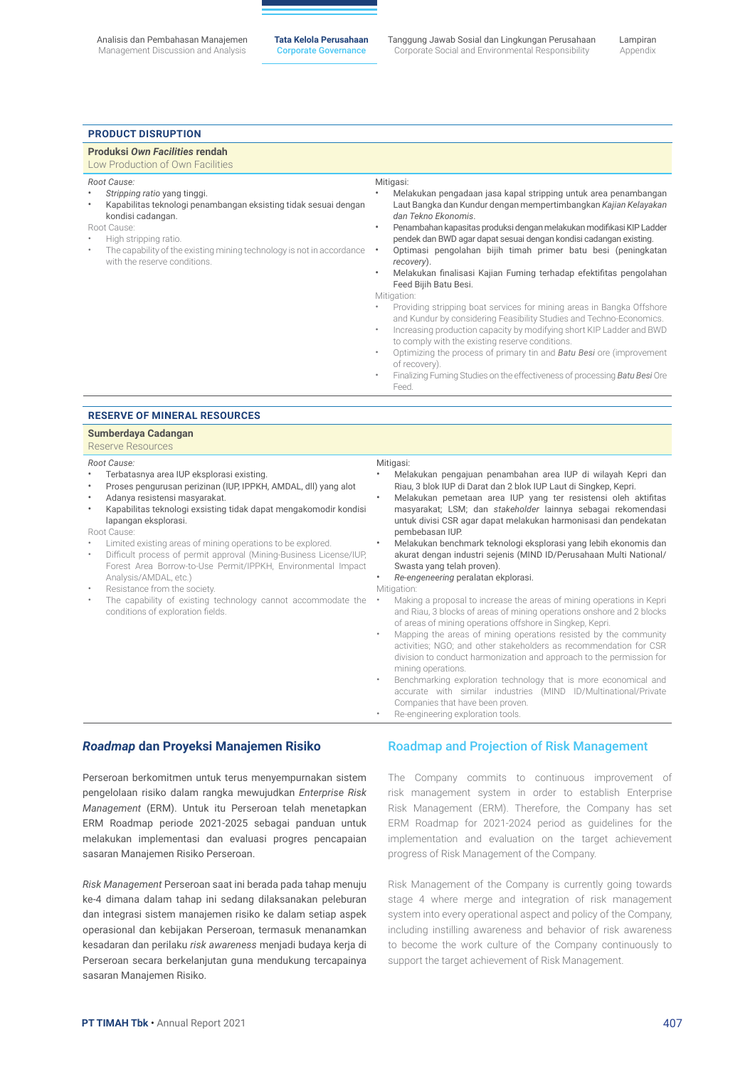#### **Product Disruption**

| Produksi Own Facilities rendah<br>Low Production of Own Facilities                                                                                                                                                                                                                                                                                                                                                         |                                                                                                                                                                                                                                                                                                                                                                                                                                                                                                                                                                                                                                                                                                                                                                                                                                                                                                                                                                                                                                               |
|----------------------------------------------------------------------------------------------------------------------------------------------------------------------------------------------------------------------------------------------------------------------------------------------------------------------------------------------------------------------------------------------------------------------------|-----------------------------------------------------------------------------------------------------------------------------------------------------------------------------------------------------------------------------------------------------------------------------------------------------------------------------------------------------------------------------------------------------------------------------------------------------------------------------------------------------------------------------------------------------------------------------------------------------------------------------------------------------------------------------------------------------------------------------------------------------------------------------------------------------------------------------------------------------------------------------------------------------------------------------------------------------------------------------------------------------------------------------------------------|
| Root Cause:<br>$\bullet$<br>Stripping ratio yang tinggi.<br>Kapabilitas teknologi penambangan eksisting tidak sesuai dengan<br>$\bullet$<br>kondisi cadangan.<br>Root Cause:<br>High stripping ratio.<br>The capability of the existing mining technology is not in accordance<br>with the reserve conditions.                                                                                                             | Mitigasi:<br>$\bullet$<br>Melakukan pengadaan jasa kapal stripping untuk area penambangan<br>Laut Bangka dan Kundur dengan mempertimbangkan Kajian Kelayakan<br>dan Tekno Ekonomis.<br>Penambahan kapasitas produksi dengan melakukan modifikasi KIP Ladder<br>$\bullet$<br>pendek dan BWD agar dapat sesuai dengan kondisi cadangan existing.<br>Optimasi pengolahan bijih timah primer batu besi (peningkatan<br>$\bullet$<br>recovery).<br>Melakukan finalisasi Kajian Fuming terhadap efektifitas pengolahan<br>$\bullet$<br>Feed Bijih Batu Besi.<br>Mitigation:<br>Providing stripping boat services for mining areas in Bangka Offshore<br>and Kundur by considering Feasibility Studies and Techno-Economics.<br>Increasing production capacity by modifying short KIP Ladder and BWD<br>$\bullet$<br>to comply with the existing reserve conditions.<br>Optimizing the process of primary tin and Batu Besi ore (improvement<br>of recovery).<br>Finalizing Fuming Studies on the effectiveness of processing Batu Besi Ore<br>Feed. |
| <b>RESERVE OF MINERAL RESOURCES</b>                                                                                                                                                                                                                                                                                                                                                                                        |                                                                                                                                                                                                                                                                                                                                                                                                                                                                                                                                                                                                                                                                                                                                                                                                                                                                                                                                                                                                                                               |
| Sumberdaya Cadangan<br>Reserve Resources                                                                                                                                                                                                                                                                                                                                                                                   |                                                                                                                                                                                                                                                                                                                                                                                                                                                                                                                                                                                                                                                                                                                                                                                                                                                                                                                                                                                                                                               |
| Root Cause:<br>Terbatasnya area IUP eksplorasi existing.<br>Proses pengurusan perizinan (IUP, IPPKH, AMDAL, dll) yang alot<br>٠<br>Adanya resistensi masyarakat.<br>٠<br>Kapabilitas teknologi exsisting tidak dapat mengakomodir kondisi<br>٠<br>lapangan eksplorasi.<br>Root Cause:<br>Limited existing areas of mining operations to be explored.<br>Difficult process of permit approval (Mining-Business License/IUP, | Mitigasi:<br>Melakukan pengajuan penambahan area IUP di wilayah Kepri dan<br>Riau, 3 blok IUP di Darat dan 2 blok IUP Laut di Singkep, Kepri.<br>Melakukan pemetaan area IUP yang ter resistensi oleh aktifitas<br>$\bullet$<br>masyarakat; LSM; dan stakeholder lainnya sebagai rekomendasi<br>untuk divisi CSR agar dapat melakukan harmonisasi dan pendekatan<br>pembebasan IUP.<br>Melakukan benchmark teknologi eksplorasi yang lebih ekonomis dan<br>akurat dengan industri sejenis (MIND ID/Perusahaan Multi National/                                                                                                                                                                                                                                                                                                                                                                                                                                                                                                                 |

- Forest Area Borrow-to-Use Permit/IPPKH, Environmental Impact Analysis/AMDAL, etc.)
- Resistance from the society.
- The capability of existing technology cannot accommodate the conditions of exploration fields.
- akurat dengan industri sejenis (MIND ID/Perusahaan Multi National/ Swasta yang telah proven).

• *Re-engeneering* peralatan ekplorasi.

Mitigation:

- Making a proposal to increase the areas of mining operations in Kepri and Riau, 3 blocks of areas of mining operations onshore and 2 blocks of areas of mining operations offshore in Singkep, Kepri.
- Mapping the areas of mining operations resisted by the community activities; NGO; and other stakeholders as recommendation for CSR division to conduct harmonization and approach to the permission for mining operations.
- Benchmarking exploration technology that is more economical and accurate with similar industries (MIND ID/Multinational/Private Companies that have been proven. Re-engineering exploration tools.
- *Roadmap* **dan Proyeksi Manajemen Risiko**

Perseroan berkomitmen untuk terus menyempurnakan sistem pengelolaan risiko dalam rangka mewujudkan *Enterprise Risk Management* (ERM). Untuk itu Perseroan telah menetapkan ERM Roadmap periode 2021-2025 sebagai panduan untuk melakukan implementasi dan evaluasi progres pencapaian sasaran Manajemen Risiko Perseroan.

*Risk Management* Perseroan saat ini berada pada tahap menuju ke-4 dimana dalam tahap ini sedang dilaksanakan peleburan dan integrasi sistem manajemen risiko ke dalam setiap aspek operasional dan kebijakan Perseroan, termasuk menanamkan kesadaran dan perilaku *risk awareness* menjadi budaya kerja di Perseroan secara berkelanjutan guna mendukung tercapainya sasaran Manajemen Risiko.

### Roadmap and Projection of Risk Management

The Company commits to continuous improvement of risk management system in order to establish Enterprise Risk Management (ERM). Therefore, the Company has set ERM Roadmap for 2021-2024 period as guidelines for the implementation and evaluation on the target achievement progress of Risk Management of the Company.

Risk Management of the Company is currently going towards stage 4 where merge and integration of risk management system into every operational aspect and policy of the Company, including instilling awareness and behavior of risk awareness to become the work culture of the Company continuously to support the target achievement of Risk Management.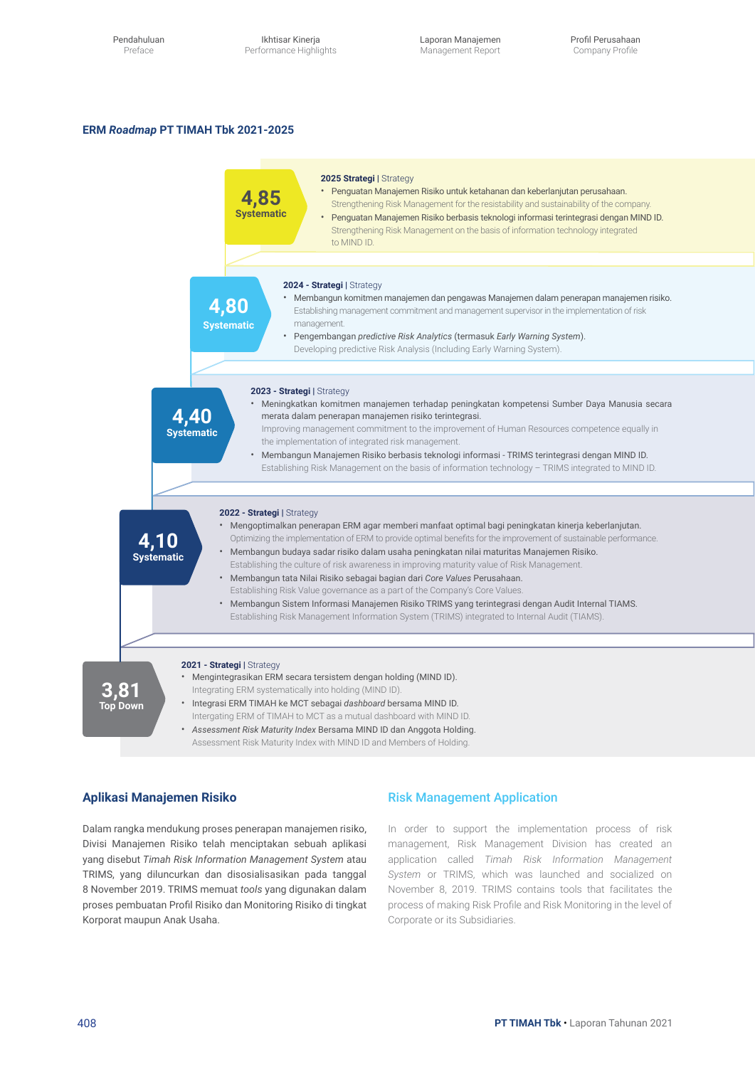Ikhtisar Kinerja Performance Highlights Laporan Manajemen Management Report

#### **ERM** *Roadmap* **PT TIMAH Tbk 2021-2025**



### **Aplikasi Manajemen Risiko**

Dalam rangka mendukung proses penerapan manajemen risiko, Divisi Manajemen Risiko telah menciptakan sebuah aplikasi yang disebut *Timah Risk Information Management System* atau TRIMS, yang diluncurkan dan disosialisasikan pada tanggal 8 November 2019. TRIMS memuat *tools* yang digunakan dalam proses pembuatan Profil Risiko dan Monitoring Risiko di tingkat Korporat maupun Anak Usaha.

### Risk Management Application

In order to support the implementation process of risk management, Risk Management Division has created an application called *Timah Risk Information Management System* or TRIMS, which was launched and socialized on November 8, 2019. TRIMS contains tools that facilitates the process of making Risk Profile and Risk Monitoring in the level of Corporate or its Subsidiaries.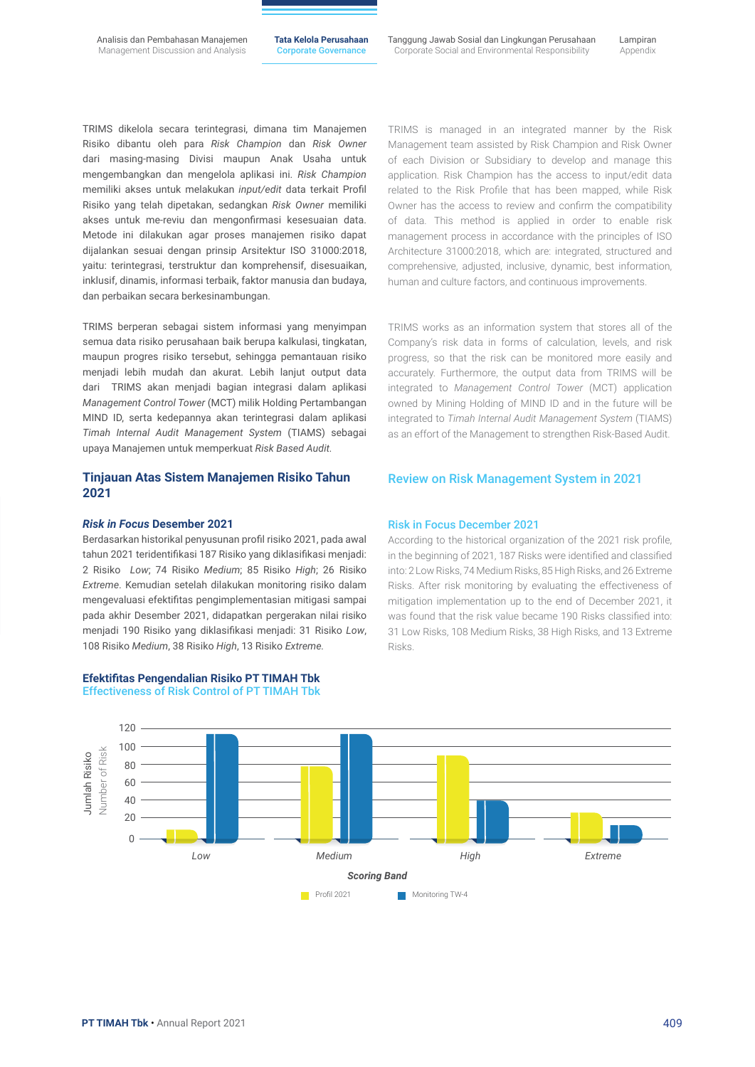TRIMS dikelola secara terintegrasi, dimana tim Manajemen Risiko dibantu oleh para *Risk Champion* dan *Risk Owner*  dari masing-masing Divisi maupun Anak Usaha untuk mengembangkan dan mengelola aplikasi ini. *Risk Champion* memiliki akses untuk melakukan *input/edit* data terkait Profil Risiko yang telah dipetakan, sedangkan *Risk Owner* memiliki akses untuk me-reviu dan mengonfirmasi kesesuaian data. Metode ini dilakukan agar proses manajemen risiko dapat dijalankan sesuai dengan prinsip Arsitektur ISO 31000:2018, yaitu: terintegrasi, terstruktur dan komprehensif, disesuaikan, inklusif, dinamis, informasi terbaik, faktor manusia dan budaya, dan perbaikan secara berkesinambungan.

TRIMS berperan sebagai sistem informasi yang menyimpan semua data risiko perusahaan baik berupa kalkulasi, tingkatan, maupun progres risiko tersebut, sehingga pemantauan risiko menjadi lebih mudah dan akurat. Lebih lanjut output data dari TRIMS akan menjadi bagian integrasi dalam aplikasi *Management Control Tower* (MCT) milik Holding Pertambangan MIND ID, serta kedepannya akan terintegrasi dalam aplikasi *Timah Internal Audit Management System* (TIAMS) sebagai upaya Manajemen untuk memperkuat *Risk Based Audit.*

### **Tinjauan Atas Sistem Manajemen Risiko Tahun 2021**

#### *Risk in Focus* **Desember 2021**

Berdasarkan historikal penyusunan profil risiko 2021, pada awal tahun 2021 teridentifikasi 187 Risiko yang diklasifikasi menjadi: 2 Risiko *Low*; 74 Risiko *Medium*; 85 Risiko *High*; 26 Risiko *Extreme*. Kemudian setelah dilakukan monitoring risiko dalam mengevaluasi efektifitas pengimplementasian mitigasi sampai pada akhir Desember 2021, didapatkan pergerakan nilai risiko menjadi 190 Risiko yang diklasifikasi menjadi: 31 Risiko *Low*, 108 Risiko *Medium*, 38 Risiko *High*, 13 Risiko *Extreme.*



TRIMS is managed in an integrated manner by the Risk Management team assisted by Risk Champion and Risk Owner of each Division or Subsidiary to develop and manage this application. Risk Champion has the access to input/edit data related to the Risk Profile that has been mapped, while Risk Owner has the access to review and confirm the compatibility of data. This method is applied in order to enable risk management process in accordance with the principles of ISO Architecture 31000:2018, which are: integrated, structured and comprehensive, adjusted, inclusive, dynamic, best information, human and culture factors, and continuous improvements.

TRIMS works as an information system that stores all of the Company's risk data in forms of calculation, levels, and risk progress, so that the risk can be monitored more easily and accurately. Furthermore, the output data from TRIMS will be integrated to *Management Control Tower* (MCT) application owned by Mining Holding of MIND ID and in the future will be integrated to *Timah Internal Audit Management System* (TIAMS) as an effort of the Management to strengthen Risk-Based Audit.

### Review on Risk Management System in 2021

#### Risk in Focus December 2021

According to the historical organization of the 2021 risk profile, in the beginning of 2021, 187 Risks were identified and classified into: 2 Low Risks, 74 Medium Risks, 85 High Risks, and 26 Extreme Risks. After risk monitoring by evaluating the effectiveness of mitigation implementation up to the end of December 2021, it was found that the risk value became 190 Risks classified into: 31 Low Risks, 108 Medium Risks, 38 High Risks, and 13 Extreme Risks.

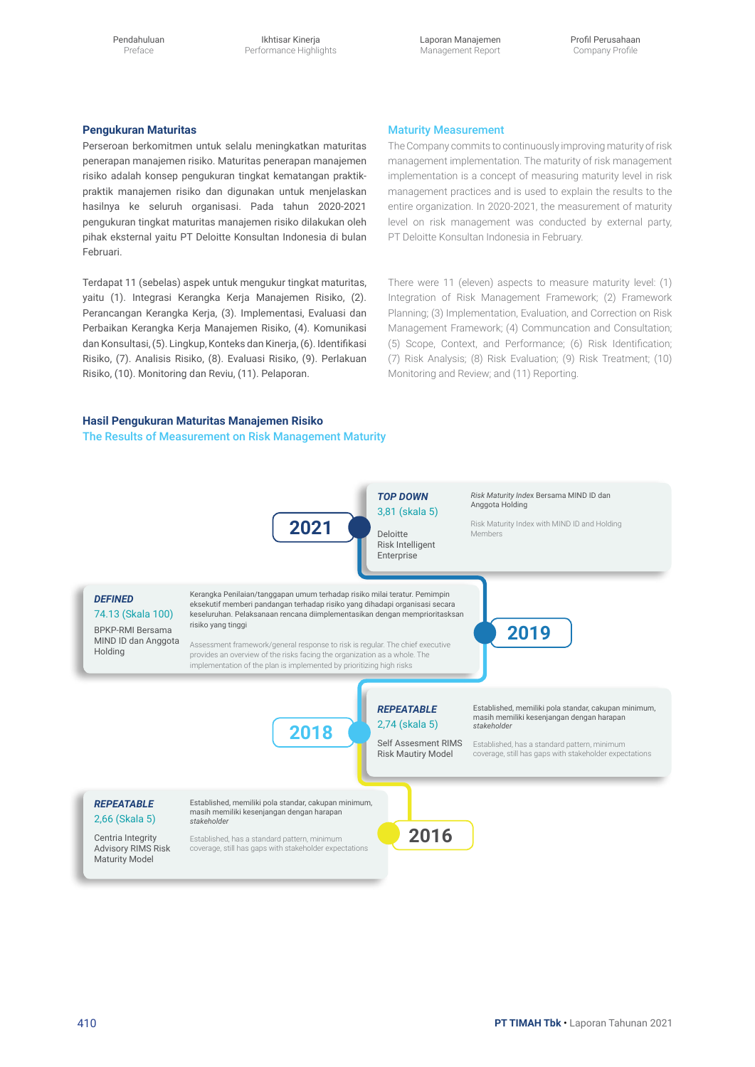Pendahuluan Preface

Ikhtisar Kinerja Performance Highlights Laporan Manajemen Management Report

#### **Pengukuran Maturitas**

Perseroan berkomitmen untuk selalu meningkatkan maturitas penerapan manajemen risiko. Maturitas penerapan manajemen risiko adalah konsep pengukuran tingkat kematangan praktikpraktik manajemen risiko dan digunakan untuk menjelaskan hasilnya ke seluruh organisasi. Pada tahun 2020-2021 pengukuran tingkat maturitas manajemen risiko dilakukan oleh pihak eksternal yaitu PT Deloitte Konsultan Indonesia di bulan Februari.

Terdapat 11 (sebelas) aspek untuk mengukur tingkat maturitas, yaitu (1). Integrasi Kerangka Kerja Manajemen Risiko, (2). Perancangan Kerangka Kerja, (3). Implementasi, Evaluasi dan Perbaikan Kerangka Kerja Manajemen Risiko, (4). Komunikasi dan Konsultasi, (5). Lingkup, Konteks dan Kinerja, (6). Identifikasi Risiko, (7). Analisis Risiko, (8). Evaluasi Risiko, (9). Perlakuan Risiko, (10). Monitoring dan Reviu, (11). Pelaporan.

#### Maturity Measurement

The Company commits to continuously improving maturity of risk management implementation. The maturity of risk management implementation is a concept of measuring maturity level in risk management practices and is used to explain the results to the entire organization. In 2020-2021, the measurement of maturity level on risk management was conducted by external party, PT Deloitte Konsultan Indonesia in February.

There were 11 (eleven) aspects to measure maturity level: (1) Integration of Risk Management Framework; (2) Framework Planning; (3) Implementation, Evaluation, and Correction on Risk Management Framework; (4) Communcation and Consultation; (5) Scope, Context, and Performance; (6) Risk Identification; (7) Risk Analysis; (8) Risk Evaluation; (9) Risk Treatment; (10) Monitoring and Review; and (11) Reporting.

### **Hasil Pengukuran Maturitas Manajemen Risiko**

The Results of Measurement on Risk Management Maturity